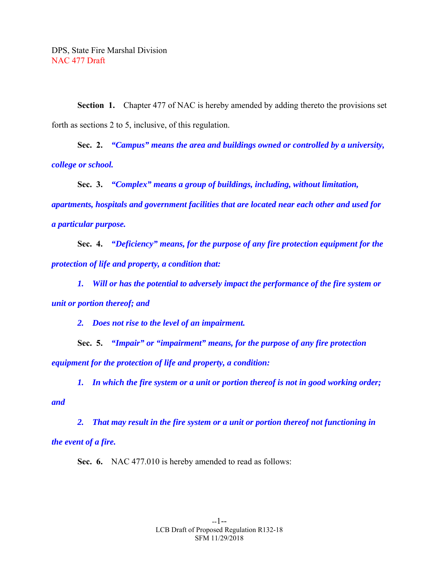**Section 1.** Chapter 477 of NAC is hereby amended by adding thereto the provisions set forth as sections 2 to 5, inclusive, of this regulation.

 **Sec. 2.** *"Campus" means the area and buildings owned or controlled by a university, college or school.* 

 **Sec. 3.** *"Complex" means a group of buildings, including, without limitation, apartments, hospitals and government facilities that are located near each other and used for a particular purpose.* 

 **Sec. 4.** *"Deficiency" means, for the purpose of any fire protection equipment for the protection of life and property, a condition that:* 

 *1. Will or has the potential to adversely impact the performance of the fire system or unit or portion thereof; and* 

 *2. Does not rise to the level of an impairment.* 

 **Sec. 5.** *"Impair" or "impairment" means, for the purpose of any fire protection equipment for the protection of life and property, a condition:* 

 *1. In which the fire system or a unit or portion thereof is not in good working order; and* 

 *2. That may result in the fire system or a unit or portion thereof not functioning in the event of a fire.* 

 **Sec. 6.** NAC 477.010 is hereby amended to read as follows: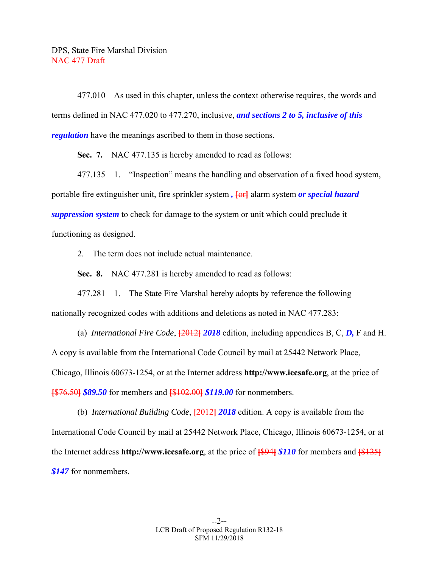477.010 As used in this chapter, unless the context otherwise requires, the words and terms defined in NAC 477.020 to 477.270, inclusive, *and sections 2 to 5, inclusive of this regulation* have the meanings ascribed to them in those sections.

 **Sec. 7.** NAC 477.135 is hereby amended to read as follows:

 477.135 1. "Inspection" means the handling and observation of a fixed hood system, portable fire extinguisher unit, fire sprinkler system *,* **[**or**]** alarm system *or special hazard suppression system* to check for damage to the system or unit which could preclude it functioning as designed.

2. The term does not include actual maintenance.

 **Sec. 8.** NAC 477.281 is hereby amended to read as follows:

 477.281 1. The State Fire Marshal hereby adopts by reference the following nationally recognized codes with additions and deletions as noted in NAC 477.283:

 (a) *International Fire Code*, **[**2012**]** *2018* edition, including appendices B, C, *D,* F and H. A copy is available from the International Code Council by mail at 25442 Network Place, Chicago, Illinois 60673-1254, or at the Internet address **http://www.iccsafe.org**, at the price of **[**\$76.50**]** *\$89.50* for members and **[**\$102.00**]** *\$119.00* for nonmembers.

 (b) *International Building Code*, **[**2012**]** *2018* edition. A copy is available from the International Code Council by mail at 25442 Network Place, Chicago, Illinois 60673-1254, or at the Internet address **http://www.iccsafe.org**, at the price of **[**\$94**]** *\$110* for members and **[**\$125**]** *\$147* for nonmembers.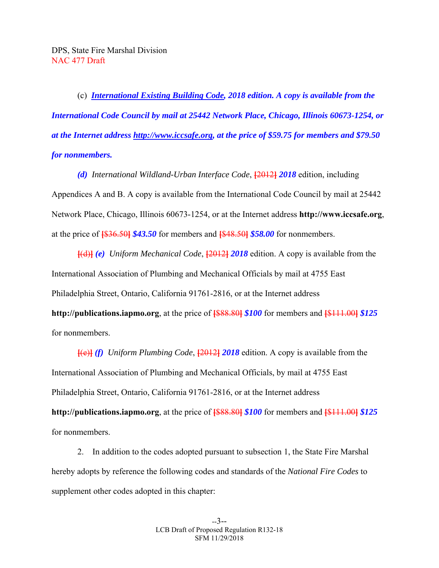(c) *International Existing Building Code, 2018 edition. A copy is available from the International Code Council by mail at 25442 Network Place, Chicago, Illinois 60673-1254, or at the Internet address http://www.iccsafe.org, at the price of \$59.75 for members and \$79.50 for nonmembers.* 

 *(d) International Wildland-Urban Interface Code*, **[**2012**]** *2018* edition, including Appendices A and B. A copy is available from the International Code Council by mail at 25442 Network Place, Chicago, Illinois 60673-1254, or at the Internet address **http://www.iccsafe.org**, at the price of **[**\$36.50**]** *\$43.50* for members and **[**\$48.50**]** *\$58.00* for nonmembers.

**[**(d)**]** *(e) Uniform Mechanical Code*, **[**2012**]** *2018* edition. A copy is available from the International Association of Plumbing and Mechanical Officials by mail at 4755 East Philadelphia Street, Ontario, California 91761-2816, or at the Internet address **http://publications.iapmo.org**, at the price of **[**\$88.80**]** *\$100* for members and **[**\$111.00**]** *\$125*  for nonmembers.

**[**(e)**]** *(f) Uniform Plumbing Code*, **[**2012**]** *2018* edition. A copy is available from the International Association of Plumbing and Mechanical Officials, by mail at 4755 East Philadelphia Street, Ontario, California 91761-2816, or at the Internet address **http://publications.iapmo.org**, at the price of **[**\$88.80**]** *\$100* for members and **[**\$111.00**]** *\$125* for nonmembers.

 2. In addition to the codes adopted pursuant to subsection 1, the State Fire Marshal hereby adopts by reference the following codes and standards of the *National Fire Codes* to supplement other codes adopted in this chapter: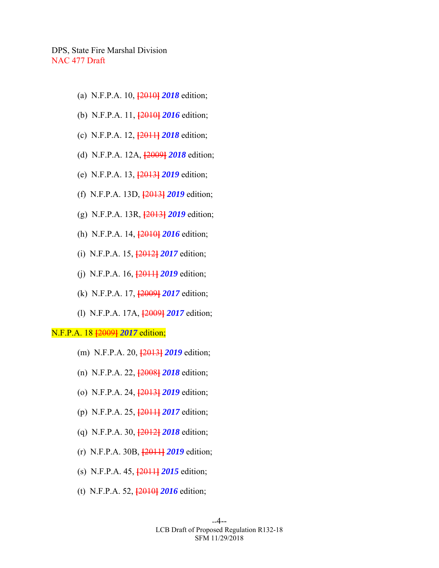- (a) N.F.P.A. 10, **[**2010**]** *2018* edition;
- (b) N.F.P.A. 11, **[**2010**]** *2016* edition;
- (c) N.F.P.A. 12, **[**2011**]** *2018* edition;
- (d) N.F.P.A. 12A, **[**2009**]** *2018* edition;
- (e) N.F.P.A. 13, **[**2013**]** *2019* edition;
- (f) N.F.P.A. 13D, **[**2013**]** *2019* edition;
- (g) N.F.P.A. 13R, **[**2013**]** *2019* edition;
- (h) N.F.P.A. 14, **[**2010**]** *2016* edition;
- (i) N.F.P.A. 15, **[**2012**]** *2017* edition;
- (j) N.F.P.A. 16, **[**2011**]** *2019* edition;
- (k) N.F.P.A. 17, **[**2009**]** *2017* edition;
- (l) N.F.P.A. 17A, **[**2009**]** *2017* edition;

# N.F.P.A. 18 **[**2009**]** *2017* edition;

- (m) N.F.P.A. 20, **[**2013**]** *2019* edition;
- (n) N.F.P.A. 22, **[**2008**]** *2018* edition;
- (o) N.F.P.A. 24, **[**2013**]** *2019* edition;
- (p) N.F.P.A. 25, **[**2011**]** *2017* edition;
- (q) N.F.P.A. 30, **[**2012**]** *2018* edition;
- (r) N.F.P.A. 30B, **[**2011**]** *2019* edition;
- (s) N.F.P.A. 45, **[**2011**]** *2015* edition;
- (t) N.F.P.A. 52, **[**2010**]** *2016* edition;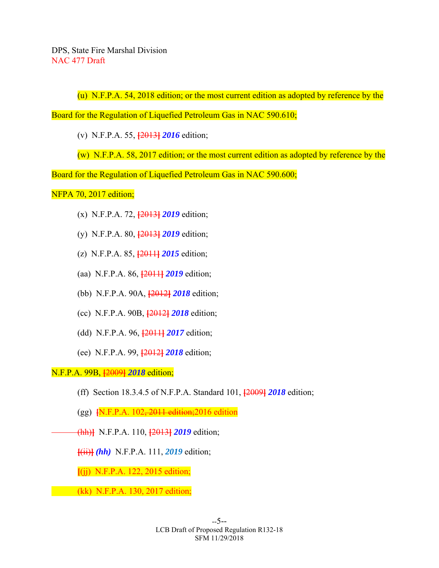(u) N.F.P.A. 54, 2018 edition; or the most current edition as adopted by reference by the

Board for the Regulation of Liquefied Petroleum Gas in NAC 590.610;

(v) N.F.P.A. 55, **[**2013**]** *2016* edition;

(w) N.F.P.A. 58, 2017 edition; or the most current edition as adopted by reference by the

Board for the Regulation of Liquefied Petroleum Gas in NAC 590.600;

# NFPA 70, 2017 edition;

- (x) N.F.P.A. 72, **[**2013**]** *2019* edition;
- (y) N.F.P.A. 80, **[**2013**]** *2019* edition;
- (z) N.F.P.A. 85, **[**2011**]** *2015* edition;
- (aa) N.F.P.A. 86, **[**2011**]** *2019* edition;
- (bb) N.F.P.A. 90A, **[**2012**]** *2018* edition;
- (cc) N.F.P.A. 90B, **[**2012**]** *2018* edition;
- (dd) N.F.P.A. 96, **[**2011**]** *2017* edition;
- (ee) N.F.P.A. 99, **[**2012**]** *2018* edition;

N.F.P.A. 99B, **[**2009**]** *2018* edition;

- (ff) Section 18.3.4.5 of N.F.P.A. Standard 101, **[**2009**]** *2018* edition;
- (gg) **[**N.F.P.A. 102, 2011 edition;2016 edition
- (hh)**]** N.F.P.A. 110, **[**2013**]** *2019* edition;

**[**(ii)**]** *(hh)* N.F.P.A. 111, *2019* edition;

**[**(jj) N.F.P.A. 122, 2015 edition;

(kk) N.F.P.A. 130, 2017 edition;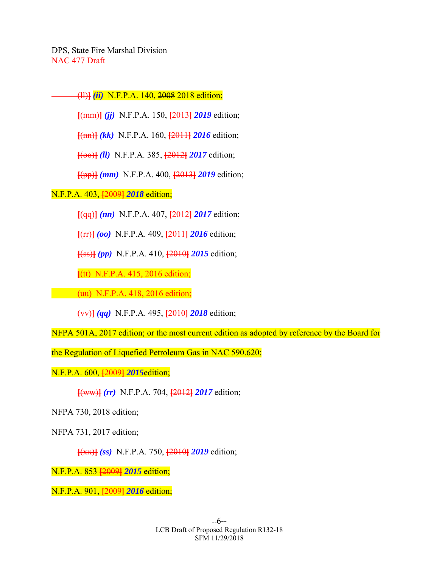(ll)**]** *(ii)* N.F.P.A. 140, 2008 2018 edition;

**[**(mm)**]** *(jj)* N.F.P.A. 150, **[**2013**]** *2019* edition;

**[**(nn)**]** *(kk)* N.F.P.A. 160, **[**2011**]** *2016* edition;

**[**(oo)**]** *(ll)* N.F.P.A. 385, **[**2012**]** *2017* edition;

**[**(pp)**]** *(mm)* N.F.P.A. 400, **[**2013**]** *2019* edition;

N.F.P.A. 403, **[**2009**]** *2018* edition;

**[**(qq)**]** *(nn)* N.F.P.A. 407, **[**2012**]** *2017* edition;

**[**(rr)**]** *(oo)* N.F.P.A. 409, **[**2011**]** *2016* edition;

**[**(ss)**]** *(pp)* N.F.P.A. 410, **[**2010**]** *2015* edition;

**[**(tt) N.F.P.A. 415, 2016 edition;

(uu) N.F.P.A. 418, 2016 edition;

(vv)**]** *(qq)* N.F.P.A. 495, **[**2010**]** *2018* edition;

NFPA 501A, 2017 edition; or the most current edition as adopted by reference by the Board for

the Regulation of Liquefied Petroleum Gas in NAC 590.620;

N.F.P.A. 600, **[**2009**]** *2015*edition;

**[**(ww)**]** *(rr)* N.F.P.A. 704, **[**2012**]** *2017* edition;

NFPA 730, 2018 edition;

NFPA 731, 2017 edition;

**[**(xx)**]** *(ss)* N.F.P.A. 750, **[**2010**]** *2019* edition;

N.F.P.A. 853 **[**2009**]** *2015* edition;

N.F.P.A. 901, **[**2009**]** *2016* edition;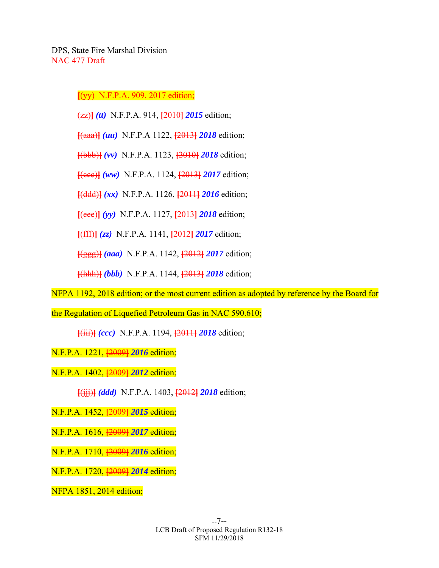**[**(yy) N.F.P.A. 909, 2017 edition;

(zz)**]** *(tt)* N.F.P.A. 914, **[**2010**]** *2015* edition;

**[**(aaa)**]** *(uu)* N.F.P.A 1122, **[**2013**]** *2018* edition;

**[**(bbb)**]** *(vv)* N.F.P.A. 1123, **[**2010**]** *2018* edition;

**[**(ccc)**]** *(ww)* N.F.P.A. 1124, **[**2013**]** *2017* edition;

**[**(ddd)**]** *(xx)* N.F.P.A. 1126, **[**2011**]** *2016* edition;

**[**(eee)**]** *(yy)* N.F.P.A. 1127, **[**2013**]** *2018* edition;

**[**(fff)**]** *(zz)* N.F.P.A. 1141, **[**2012**]** *2017* edition;

**[**(ggg)**]** *(aaa)* N.F.P.A. 1142, **[**2012**]** *2017* edition;

**[**(hhh)**]** *(bbb)* N.F.P.A. 1144, **[**2013**]** *2018* edition;

NFPA 1192, 2018 edition; or the most current edition as adopted by reference by the Board for

the Regulation of Liquefied Petroleum Gas in NAC 590.610;

**[**(iii)**]** *(ccc)* N.F.P.A. 1194, **[**2011**]** *2018* edition;

N.F.P.A. 1221, **[**2009**]** *2016* edition;

N.F.P.A. 1402, **[**2009**]** *2012* edition;

**[**(jjj)**]** *(ddd)* N.F.P.A. 1403, **[**2012**]** *2018* edition;

N.F.P.A. 1452, **[**2009**]** *2015* edition;

N.F.P.A. 1616, **[**2009**]** *2017* edition;

N.F.P.A. 1710, **[**2009**]** *2016* edition;

N.F.P.A. 1720, **[**2009**]** *2014* edition;

NFPA 1851, 2014 edition;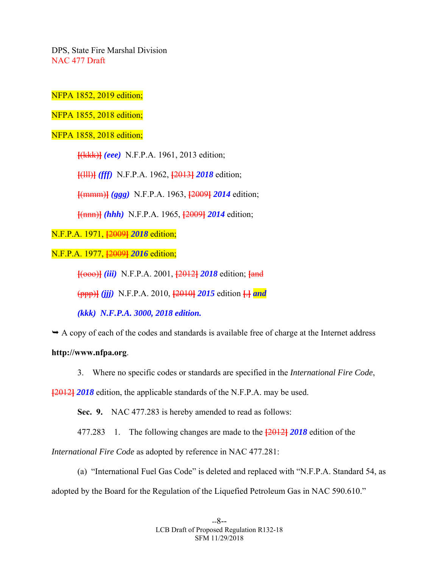NFPA 1852, 2019 edition;

NFPA 1855, 2018 edition;

NFPA 1858, 2018 edition;

**[**(kkk)**]** *(eee)* N.F.P.A. 1961, 2013 edition;

**[**(lll)**]** *(fff)* N.F.P.A. 1962, **[**2013**]** *2018* edition;

**[**(mmm)**]** *(ggg)* N.F.P.A. 1963, **[**2009**]** *2014* edition;

**[**(nnn)**]** *(hhh)* N.F.P.A. 1965, **[**2009**]** *2014* edition;

N.F.P.A. 1971, **[**2009**]** *2018* edition;

N.F.P.A. 1977, **[**2009**]** *2016* edition;

**[**(ooo)**]** *(iii)* N.F.P.A. 2001, **[**2012**]** *2018* edition; **[**and

(ppp)**]** *(jjj)* N.F.P.A. 2010, **[**2010**]** *2015* edition **[**.**]** *and* 

 *(kkk) N.F.P.A. 3000, 2018 edition.* 

 $\rightarrow$  A copy of each of the codes and standards is available free of charge at the Internet address

**http://www.nfpa.org**.

3. Where no specific codes or standards are specified in the *International Fire Code*,

**[**2012**]** *2018* edition, the applicable standards of the N.F.P.A. may be used.

 **Sec. 9.** NAC 477.283 is hereby amended to read as follows:

477.283 1. The following changes are made to the **[**2012**]** *2018* edition of the

*International Fire Code* as adopted by reference in NAC 477.281:

 (a) "International Fuel Gas Code" is deleted and replaced with "N.F.P.A. Standard 54, as adopted by the Board for the Regulation of the Liquefied Petroleum Gas in NAC 590.610."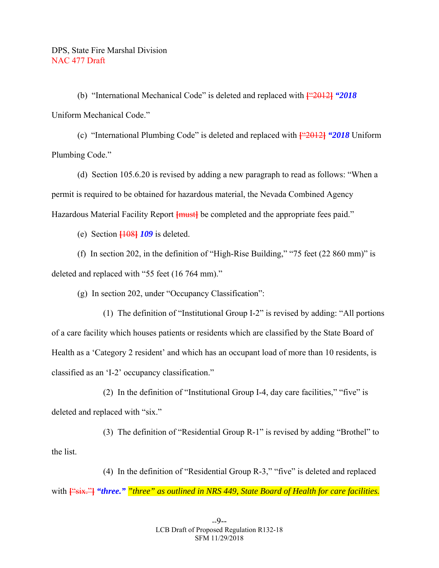(b) "International Mechanical Code" is deleted and replaced with **[**"2012**]** *"2018*  Uniform Mechanical Code."

 (c) "International Plumbing Code" is deleted and replaced with **[**"2012**]** *"2018* Uniform Plumbing Code."

 (d) Section 105.6.20 is revised by adding a new paragraph to read as follows: "When a permit is required to be obtained for hazardous material, the Nevada Combined Agency Hazardous Material Facility Report **[must]** be completed and the appropriate fees paid."

(e) Section **[**108**]** *109* is deleted.

 (f) In section 202, in the definition of "High-Rise Building," "75 feet (22 860 mm)" is deleted and replaced with "55 feet (16 764 mm)."

(g) In section 202, under "Occupancy Classification":

 (1) The definition of "Institutional Group I-2" is revised by adding: "All portions of a care facility which houses patients or residents which are classified by the State Board of Health as a 'Category 2 resident' and which has an occupant load of more than 10 residents, is classified as an 'I-2' occupancy classification."

 (2) In the definition of "Institutional Group I-4, day care facilities," "five" is deleted and replaced with "six."

 (3) The definition of "Residential Group R-1" is revised by adding "Brothel" to the list.

 (4) In the definition of "Residential Group R-3," "five" is deleted and replaced with **[**"six."**]** *"three." "three" as outlined in NRS 449, State Board of Health for care facilities.*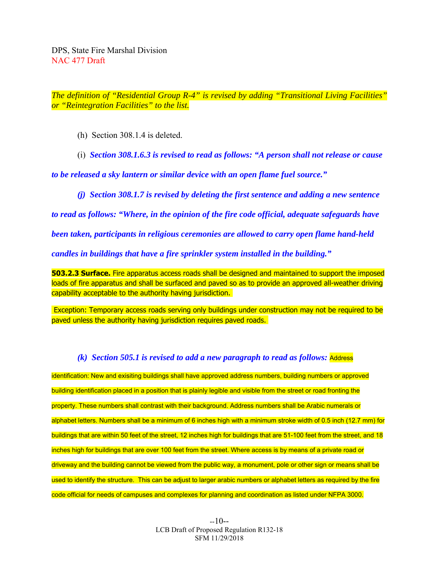*The definition of "Residential Group R-4" is revised by adding "Transitional Living Facilities" or "Reintegration Facilities" to the list.*

(h) Section 308.1.4 is deleted.

(i) *Section 308.1.6.3 is revised to read as follows: "A person shall not release or cause* 

*to be released a sky lantern or similar device with an open flame fuel source."* 

 *(j) Section 308.1.7 is revised by deleting the first sentence and adding a new sentence* 

*to read as follows: "Where, in the opinion of the fire code official, adequate safeguards have* 

*been taken, participants in religious ceremonies are allowed to carry open flame hand-held* 

*candles in buildings that have a fire sprinkler system installed in the building."* 

**503.2.3 Surface.** Fire apparatus access roads shall be designed and maintained to support the imposed loads of fire apparatus and shall be surfaced and paved so as to provide an approved all-weather driving capability acceptable to the authority having jurisdiction.

 Exception: Temporary access roads serving only buildings under construction may not be required to be paved unless the authority having jurisdiction requires paved roads.

# *(k) Section 505.1 is revised to add a new paragraph to read as follows:* Address

identification: New and exisiting buildings shall have approved address numbers, building numbers or approved building identification placed in a position that is plainly legible and visible from the street or road fronting the property. These numbers shall contrast with their background. Address numbers shall be Arabic numerals or alphabet letters. Numbers shall be a minimum of 6 inches high with a minimum stroke width of 0.5 inch (12.7 mm) for buildings that are within 50 feet of the street, 12 inches high for buildings that are 51-100 feet from the street, and 18 inches high for buildings that are over 100 feet from the street. Where access is by means of a private road or driveway and the building cannot be viewed from the public way, a monument, pole or other sign or means shall be used to identify the structure. This can be adjust to larger arabic numbers or alphabet letters as required by the fire code official for needs of campuses and complexes for planning and coordination as listed under NFPA 3000.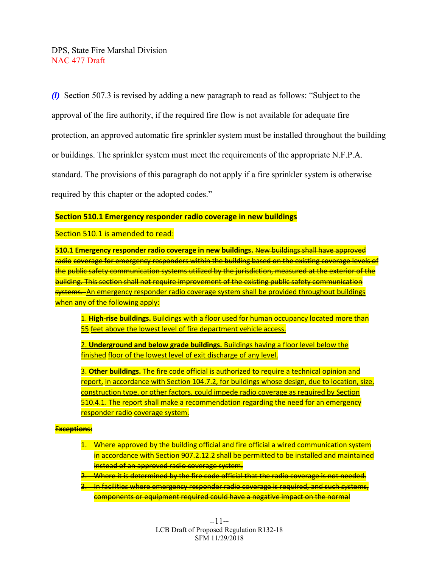*(l)* Section 507.3 is revised by adding a new paragraph to read as follows: "Subject to the approval of the fire authority, if the required fire flow is not available for adequate fire protection, an approved automatic fire sprinkler system must be installed throughout the building or buildings. The sprinkler system must meet the requirements of the appropriate N.F.P.A. standard. The provisions of this paragraph do not apply if a fire sprinkler system is otherwise required by this chapter or the adopted codes."

## **Section 510.1 Emergency responder radio coverage in new buildings**

Section 510.1 is amended to read:

**510.1 Emergency responder radio coverage in new buildings. New buildings shall have approved** radio coverage for emergency responders within the building based on the existing coverage levels of the public safety communication systems utilized by the jurisdiction, measured at the exterior of the building. This section shall not require improvement of the existing public safety communication systems. An emergency responder radio coverage system shall be provided throughout buildings when any of the following apply:

1. **High-rise buildings.** Buildings with a floor used for human occupancy located more than 55 feet above the lowest level of fire department vehicle access.

2. **Underground and below grade buildings.** Buildings having a floor level below the finished floor of the lowest level of exit discharge of any level.

3. **Other buildings.** The fire code official is authorized to require a technical opinion and report, in accordance with Section 104.7.2, for buildings whose design, due to location, size, construction type, or other factors, could impede radio coverage as required by Section 510.4.1. The report shall make a recommendation regarding the need for an emergency responder radio coverage system.

#### E**xceptions:**

- 1. Where approved by the building official and fire official a wired communication system in accordance with Section 907.2.12.2 shall be permitted to be installed and maintained instead of an approved radio coverage system.
- 2. Where it is determined by the fire code official that the radio coverage is not needed.
- 3. In facilities where emergency responder radio coverage is required, and such systems, components or equipment required could have a negative impact on the normal

--11-- LCB Draft of Proposed Regulation R132-18 SFM 11/29/2018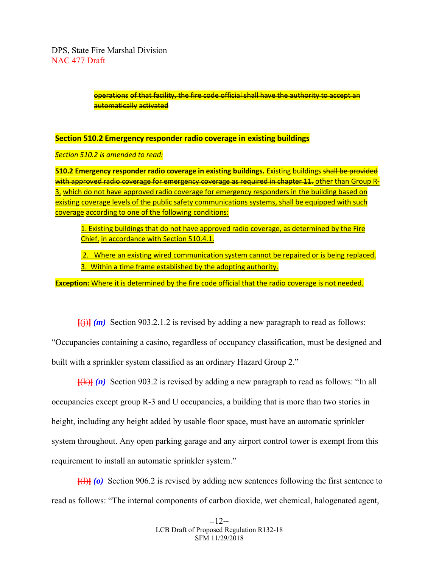> operations of that facility, the fire code official shall have the authority to accept an automatically activated

#### **Section 510.2 Emergency responder radio coverage in existing buildings**

*Section 510.2 is amended to read:*

**510.2 Emergency responder radio coverage in existing buildings.** Existing buildings shall be provided with approved radio coverage for emergency coverage as required in chapter 11. other than Group R-3, which do not have approved radio coverage for emergency responders in the building based on existing coverage levels of the public safety communications systems, shall be equipped with such coverage according to one of the following conditions:

1. Existing buildings that do not have approved radio coverage, as determined by the Fire Chief, in accordance with Section 510.4.1.

2. Where an existing wired communication system cannot be repaired or is being replaced. 3. Within a time frame established by the adopting authority.

**Exception:** Where it is determined by the fire code official that the radio coverage is not needed.

 $\overline{f(i)}$  (*m*) Section 903.2.1.2 is revised by adding a new paragraph to read as follows:

"Occupancies containing a casino, regardless of occupancy classification, must be designed and built with a sprinkler system classified as an ordinary Hazard Group 2."

**[**(k)**]** *(n)* Section 903.2 is revised by adding a new paragraph to read as follows: "In all occupancies except group R-3 and U occupancies, a building that is more than two stories in height, including any height added by usable floor space, must have an automatic sprinkler system throughout. Any open parking garage and any airport control tower is exempt from this requirement to install an automatic sprinkler system."

**[**(l)**]** *(o)* Section 906.2 is revised by adding new sentences following the first sentence to read as follows: "The internal components of carbon dioxide, wet chemical, halogenated agent,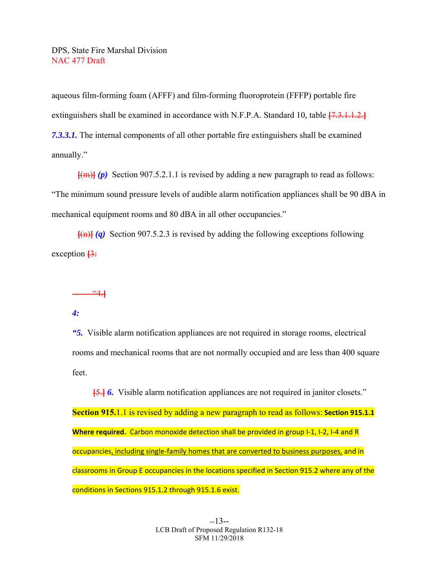aqueous film-forming foam (AFFF) and film-forming fluoroprotein (FFFP) portable fire extinguishers shall be examined in accordance with N.F.P.A. Standard 10, table **[**7.3.1.1.2.**]** *7.3.3.1.* The internal components of all other portable fire extinguishers shall be examined annually."

 $[\{m\}]$  (p) Section 907.5.2.1.1 is revised by adding a new paragraph to read as follows: "The minimum sound pressure levels of audible alarm notification appliances shall be 90 dBA in mechanical equipment rooms and 80 dBA in all other occupancies."

**[**(n)**]** *(q)* Section 907.5.2.3 is revised by adding the following exceptions following exception **[**3:

"4.**]**

# *4:*

*"5.* Visible alarm notification appliances are not required in storage rooms, electrical rooms and mechanical rooms that are not normally occupied and are less than 400 square feet.

**[**5.**]** *6.* Visible alarm notification appliances are not required in janitor closets." **Section 915.**1.1 is revised by adding a new paragraph to read as follows: **Section 915.1.1 Where required.** Carbon monoxide detection shall be provided in group I‐1, I‐2, I‐4 and R occupancies, including single‐family homes that are converted to business purposes, and in classrooms in Group E occupancies in the locations specified in Section 915.2 where any of the conditions in Sections 915.1.2 through 915.1.6 exist.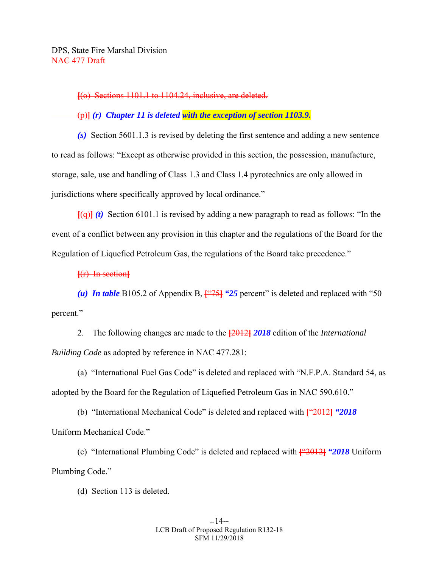**[**(o) Sections 1101.1 to 1104.24, inclusive, are deleted.

(p)**]** *(r) Chapter 11 is deleted with the exception of section 1103.9.* 

 *(s)* Section 5601.1.3 is revised by deleting the first sentence and adding a new sentence to read as follows: "Except as otherwise provided in this section, the possession, manufacture, storage, sale, use and handling of Class 1.3 and Class 1.4 pyrotechnics are only allowed in jurisdictions where specifically approved by local ordinance."

**[**(q)**]** *(t)* Section 6101.1 is revised by adding a new paragraph to read as follows: "In the event of a conflict between any provision in this chapter and the regulations of the Board for the Regulation of Liquefied Petroleum Gas, the regulations of the Board take precedence."

**[**(r) In section**]**

*(u) In table B105.2 of Appendix B,*  $\frac{1475}{}$  *(25 percent)* is deleted and replaced with "50 percent."

 2. The following changes are made to the **[**2012**]** *2018* edition of the *International Building Code* as adopted by reference in NAC 477.281:

 (a) "International Fuel Gas Code" is deleted and replaced with "N.F.P.A. Standard 54, as adopted by the Board for the Regulation of Liquefied Petroleum Gas in NAC 590.610."

 (b) "International Mechanical Code" is deleted and replaced with **[**"2012**]** *"2018*  Uniform Mechanical Code."

 (c) "International Plumbing Code" is deleted and replaced with **[**"2012**]** *"2018* Uniform Plumbing Code."

(d) Section 113 is deleted.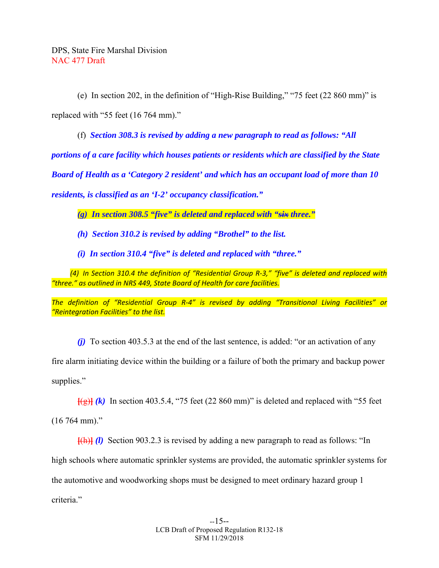(e) In section 202, in the definition of "High-Rise Building," "75 feet (22 860 mm)" is replaced with "55 feet (16 764 mm)."

(f) *Section 308.3 is revised by adding a new paragraph to read as follows: "All* 

*portions of a care facility which houses patients or residents which are classified by the State* 

*Board of Health as a 'Category 2 resident' and which has an occupant load of more than 10* 

*residents, is classified as an 'I-2' occupancy classification."* 

 *(g) In section 308.5 "five" is deleted and replaced with "six three."* 

 *(h) Section 310.2 is revised by adding "Brothel" to the list.* 

 *(i) In section 310.4 "five" is deleted and replaced with "three."* 

 *(4) In Section 310.4 the definition of "Residential Group R‐3," "five" is deleted and replaced with "three." as outlined in NRS 449, State Board of Health for care facilities.* 

*The definition of "Residential Group R‐4" is revised by adding "Transitional Living Facilities" or "Reintegration Facilities" to the list.* 

 *(j)* To section 403.5.3 at the end of the last sentence, is added: "or an activation of any

fire alarm initiating device within the building or a failure of both the primary and backup power supplies."

 $\frac{1}{2}$  (k) In section 403.5.4, "75 feet (22 860 mm)" is deleted and replaced with "55 feet (16 764 mm)."

**[**(h)**]** *(l)* Section 903.2.3 is revised by adding a new paragraph to read as follows: "In high schools where automatic sprinkler systems are provided, the automatic sprinkler systems for the automotive and woodworking shops must be designed to meet ordinary hazard group 1 criteria."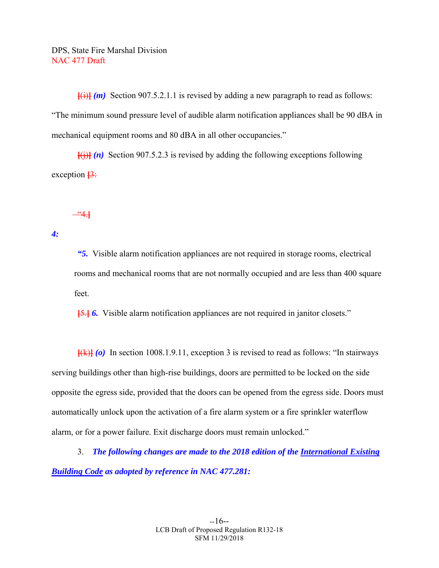$\overline{f(i)}$  (*m*) Section 907.5.2.1.1 is revised by adding a new paragraph to read as follows: "The minimum sound pressure level of audible alarm notification appliances shall be 90 dBA in mechanical equipment rooms and 80 dBA in all other occupancies."

 $\overline{f}(i)$  (n) Section 907.5.2.3 is revised by adding the following exceptions following exception  $\frac{13}{2}$ 

"4.**]**

*4:* 

 *"5.* Visible alarm notification appliances are not required in storage rooms, electrical rooms and mechanical rooms that are not normally occupied and are less than 400 square feet.

**[**5.**]** *6.* Visible alarm notification appliances are not required in janitor closets."

**[**(k)**]** *(o)* In section 1008.1.9.11, exception 3 is revised to read as follows: "In stairways serving buildings other than high-rise buildings, doors are permitted to be locked on the side opposite the egress side, provided that the doors can be opened from the egress side. Doors must automatically unlock upon the activation of a fire alarm system or a fire sprinkler waterflow alarm, or for a power failure. Exit discharge doors must remain unlocked."

 3. *The following changes are made to the 2018 edition of the International Existing Building Code as adopted by reference in NAC 477.281:*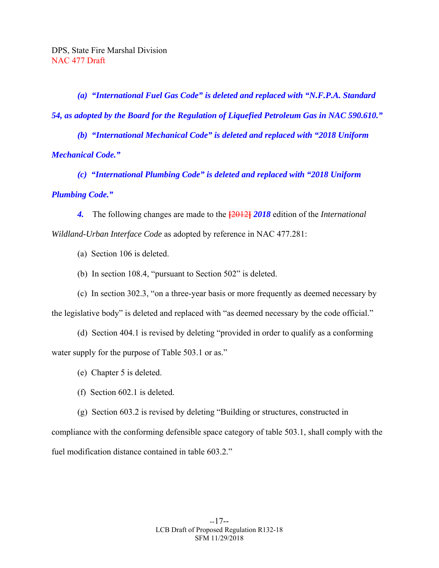*(a) "International Fuel Gas Code" is deleted and replaced with "N.F.P.A. Standard 54, as adopted by the Board for the Regulation of Liquefied Petroleum Gas in NAC 590.610."* 

 *(b) "International Mechanical Code" is deleted and replaced with "2018 Uniform Mechanical Code."* 

 *(c) "International Plumbing Code" is deleted and replaced with "2018 Uniform Plumbing Code."* 

 *4.* The following changes are made to the **[**2012**]** *2018* edition of the *International Wildland-Urban Interface Code* as adopted by reference in NAC 477.281:

(a) Section 106 is deleted.

(b) In section 108.4, "pursuant to Section 502" is deleted.

 (c) In section 302.3, "on a three-year basis or more frequently as deemed necessary by the legislative body" is deleted and replaced with "as deemed necessary by the code official."

 (d) Section 404.1 is revised by deleting "provided in order to qualify as a conforming water supply for the purpose of Table 503.1 or as."

(e) Chapter 5 is deleted.

(f) Section 602.1 is deleted.

(g) Section 603.2 is revised by deleting "Building or structures, constructed in

compliance with the conforming defensible space category of table 503.1, shall comply with the fuel modification distance contained in table 603.2."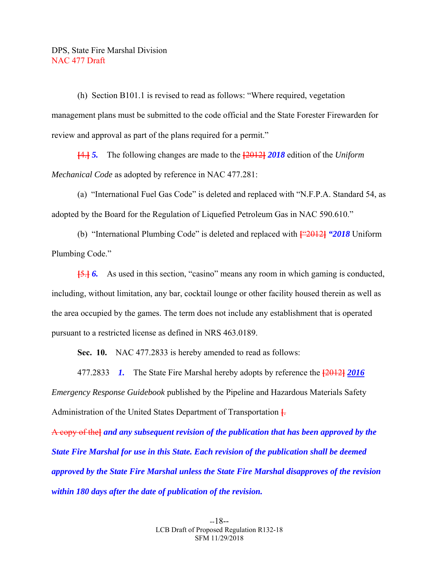(h) Section B101.1 is revised to read as follows: "Where required, vegetation management plans must be submitted to the code official and the State Forester Firewarden for review and approval as part of the plans required for a permit."

**[**4.**]** *5.* The following changes are made to the **[**2012**]** *2018* edition of the *Uniform Mechanical Code* as adopted by reference in NAC 477.281:

 (a) "International Fuel Gas Code" is deleted and replaced with "N.F.P.A. Standard 54, as adopted by the Board for the Regulation of Liquefied Petroleum Gas in NAC 590.610."

 (b) "International Plumbing Code" is deleted and replaced with **[**"2012**]** *"2018* Uniform Plumbing Code."

**[**5.**]** *6.* As used in this section, "casino" means any room in which gaming is conducted, including, without limitation, any bar, cocktail lounge or other facility housed therein as well as the area occupied by the games. The term does not include any establishment that is operated pursuant to a restricted license as defined in NRS 463.0189.

 **Sec. 10.** NAC 477.2833 is hereby amended to read as follows:

 477.2833 *1.* The State Fire Marshal hereby adopts by reference the **[**2012**]** *2016 Emergency Response Guidebook* published by the Pipeline and Hazardous Materials Safety Administration of the United States Department of Transportation **[**.

A copy of the**]** *and any subsequent revision of the publication that has been approved by the State Fire Marshal for use in this State. Each revision of the publication shall be deemed approved by the State Fire Marshal unless the State Fire Marshal disapproves of the revision within 180 days after the date of publication of the revision.*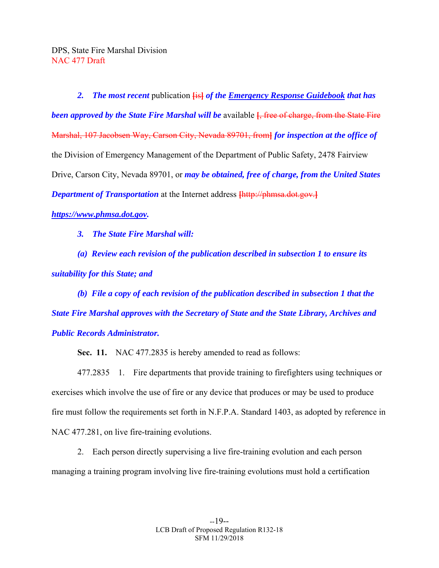*2. The most recent* publication **[**is**]** *of the Emergency Response Guidebook that has been approved by the State Fire Marshal will be* available **[**, free of charge, from the State Fire Marshal, 107 Jacobsen Way, Carson City, Nevada 89701, from**]** *for inspection at the office of*  the Division of Emergency Management of the Department of Public Safety, 2478 Fairview Drive, Carson City, Nevada 89701, or *may be obtained, free of charge, from the United States Department of Transportation* at the Internet address **[**http://phmsa.dot.gov.**]** *https://www.phmsa.dot.gov.* 

 *3. The State Fire Marshal will:* 

 *(a) Review each revision of the publication described in subsection 1 to ensure its suitability for this State; and* 

 *(b) File a copy of each revision of the publication described in subsection 1 that the State Fire Marshal approves with the Secretary of State and the State Library, Archives and Public Records Administrator.* 

 **Sec. 11.** NAC 477.2835 is hereby amended to read as follows:

 477.2835 1. Fire departments that provide training to firefighters using techniques or exercises which involve the use of fire or any device that produces or may be used to produce fire must follow the requirements set forth in N.F.P.A. Standard 1403, as adopted by reference in NAC 477.281, on live fire-training evolutions.

 2. Each person directly supervising a live fire-training evolution and each person managing a training program involving live fire-training evolutions must hold a certification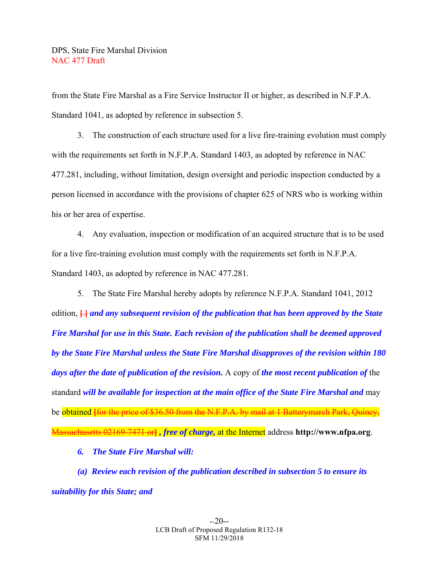from the State Fire Marshal as a Fire Service Instructor II or higher, as described in N.F.P.A. Standard 1041, as adopted by reference in subsection 5.

 3. The construction of each structure used for a live fire-training evolution must comply with the requirements set forth in N.F.P.A. Standard 1403, as adopted by reference in NAC 477.281, including, without limitation, design oversight and periodic inspection conducted by a person licensed in accordance with the provisions of chapter 625 of NRS who is working within his or her area of expertise.

 4. Any evaluation, inspection or modification of an acquired structure that is to be used for a live fire-training evolution must comply with the requirements set forth in N.F.P.A. Standard 1403, as adopted by reference in NAC 477.281.

 5. The State Fire Marshal hereby adopts by reference N.F.P.A. Standard 1041, 2012 edition, **[**.**]** *and any subsequent revision of the publication that has been approved by the State Fire Marshal for use in this State. Each revision of the publication shall be deemed approved by the State Fire Marshal unless the State Fire Marshal disapproves of the revision within 180 days after the date of publication of the revision.* A copy of *the most recent publication of* the standard *will be available for inspection at the main office of the State Fire Marshal and* may be obtained <del>Hor the price of \$36.50 from the N.F.P.A. by mail at 1 Batterymarch Park, Quincy,</del> Massachusetts 02169-7471 or**]** *, free of charge,* at the Internet address **http://www.nfpa.org**.

 *6. The State Fire Marshal will:* 

 *(a) Review each revision of the publication described in subsection 5 to ensure its suitability for this State; and*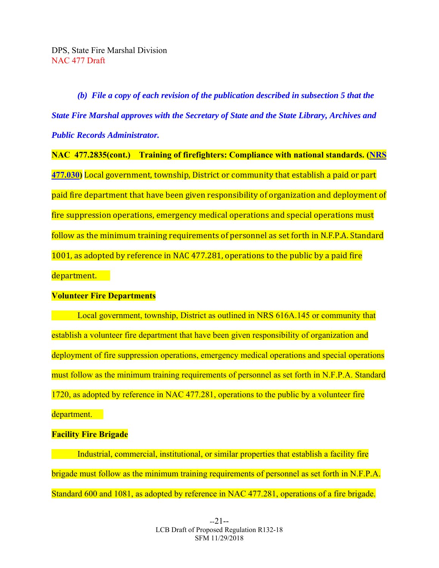*(b) File a copy of each revision of the publication described in subsection 5 that the State Fire Marshal approves with the Secretary of State and the State Library, Archives and Public Records Administrator.* 

**NAC 477.2835(cont.) Training of firefighters: Compliance with national standards. (NRS 477.030)** Local government, township, District or community that establish a paid or part paid fire department that have been given responsibility of organization and deployment of fire suppression operations, emergency medical operations and special operations must follow as the minimum training requirements of personnel as set forth in N.F.P.A. Standard 1001, as adopted by reference in NAC 477.281, operations to the public by a paid fire department.

## **Volunteer Fire Departments**

Local government, township, District as outlined in NRS 616A.145 or community that establish a volunteer fire department that have been given responsibility of organization and deployment of fire suppression operations, emergency medical operations and special operations must follow as the minimum training requirements of personnel as set forth in N.F.P.A. Standard 1720, as adopted by reference in NAC 477.281, operations to the public by a volunteer fire department.

## **Facility Fire Brigade**

 Industrial, commercial, institutional, or similar properties that establish a facility fire brigade must follow as the minimum training requirements of personnel as set forth in N.F.P.A. Standard 600 and 1081, as adopted by reference in NAC 477.281, operations of a fire brigade.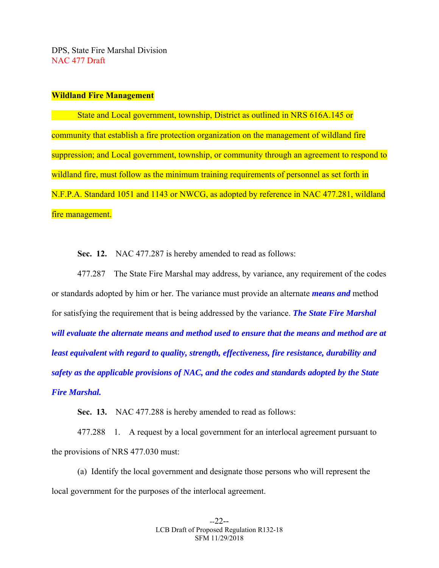#### **Wildland Fire Management**

 State and Local government, township, District as outlined in NRS 616A.145 or community that establish a fire protection organization on the management of wildland fire suppression; and Local government, township, or community through an agreement to respond to wildland fire, must follow as the minimum training requirements of personnel as set forth in N.F.P.A. Standard 1051 and 1143 or NWCG, as adopted by reference in NAC 477.281, wildland fire management.

**Sec. 12.** NAC 477.287 is hereby amended to read as follows:

 477.287 The State Fire Marshal may address, by variance, any requirement of the codes or standards adopted by him or her. The variance must provide an alternate *means and* method for satisfying the requirement that is being addressed by the variance. *The State Fire Marshal will evaluate the alternate means and method used to ensure that the means and method are at least equivalent with regard to quality, strength, effectiveness, fire resistance, durability and safety as the applicable provisions of NAC, and the codes and standards adopted by the State Fire Marshal.* 

 **Sec. 13.** NAC 477.288 is hereby amended to read as follows:

 477.288 1. A request by a local government for an interlocal agreement pursuant to the provisions of NRS 477.030 must:

 (a) Identify the local government and designate those persons who will represent the local government for the purposes of the interlocal agreement.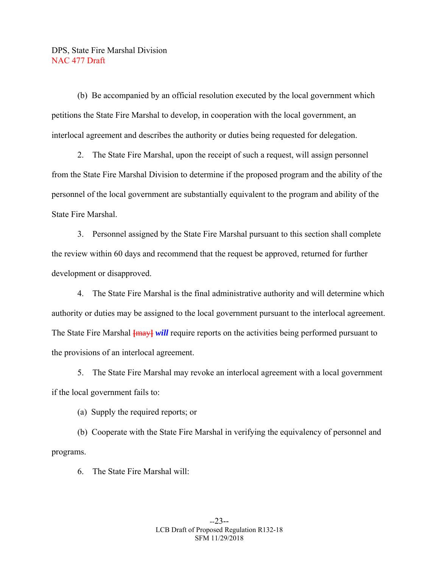(b) Be accompanied by an official resolution executed by the local government which petitions the State Fire Marshal to develop, in cooperation with the local government, an interlocal agreement and describes the authority or duties being requested for delegation.

 2. The State Fire Marshal, upon the receipt of such a request, will assign personnel from the State Fire Marshal Division to determine if the proposed program and the ability of the personnel of the local government are substantially equivalent to the program and ability of the State Fire Marshal.

 3. Personnel assigned by the State Fire Marshal pursuant to this section shall complete the review within 60 days and recommend that the request be approved, returned for further development or disapproved.

 4. The State Fire Marshal is the final administrative authority and will determine which authority or duties may be assigned to the local government pursuant to the interlocal agreement. The State Fire Marshal  $\frac{2}{1}$  *[may] will* require reports on the activities being performed pursuant to the provisions of an interlocal agreement.

 5. The State Fire Marshal may revoke an interlocal agreement with a local government if the local government fails to:

(a) Supply the required reports; or

 (b) Cooperate with the State Fire Marshal in verifying the equivalency of personnel and programs.

6. The State Fire Marshal will: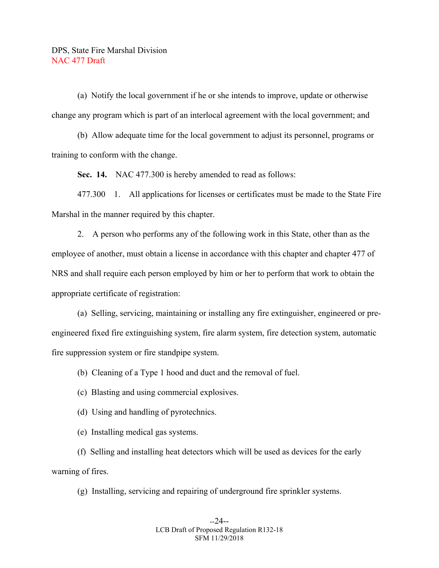(a) Notify the local government if he or she intends to improve, update or otherwise change any program which is part of an interlocal agreement with the local government; and

 (b) Allow adequate time for the local government to adjust its personnel, programs or training to conform with the change.

 **Sec. 14.** NAC 477.300 is hereby amended to read as follows:

 477.300 1. All applications for licenses or certificates must be made to the State Fire Marshal in the manner required by this chapter.

 2. A person who performs any of the following work in this State, other than as the employee of another, must obtain a license in accordance with this chapter and chapter 477 of NRS and shall require each person employed by him or her to perform that work to obtain the appropriate certificate of registration:

 (a) Selling, servicing, maintaining or installing any fire extinguisher, engineered or preengineered fixed fire extinguishing system, fire alarm system, fire detection system, automatic fire suppression system or fire standpipe system.

(b) Cleaning of a Type 1 hood and duct and the removal of fuel.

(c) Blasting and using commercial explosives.

(d) Using and handling of pyrotechnics.

(e) Installing medical gas systems.

 (f) Selling and installing heat detectors which will be used as devices for the early warning of fires.

(g) Installing, servicing and repairing of underground fire sprinkler systems.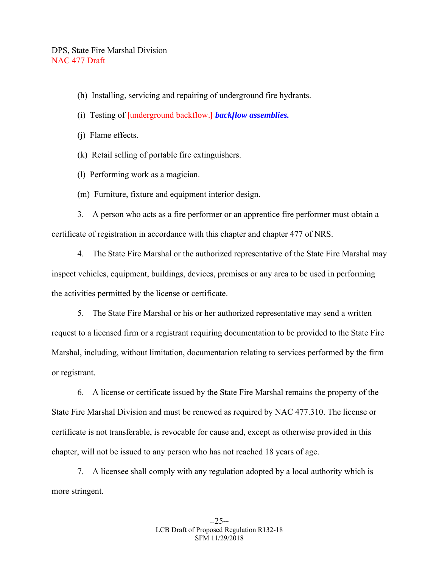- (h) Installing, servicing and repairing of underground fire hydrants.
- (i) Testing of **[**underground backflow.**]** *backflow assemblies.*
- (j) Flame effects.
- (k) Retail selling of portable fire extinguishers.
- (l) Performing work as a magician.
- (m) Furniture, fixture and equipment interior design.

 3. A person who acts as a fire performer or an apprentice fire performer must obtain a certificate of registration in accordance with this chapter and chapter 477 of NRS.

 4. The State Fire Marshal or the authorized representative of the State Fire Marshal may inspect vehicles, equipment, buildings, devices, premises or any area to be used in performing the activities permitted by the license or certificate.

 5. The State Fire Marshal or his or her authorized representative may send a written request to a licensed firm or a registrant requiring documentation to be provided to the State Fire Marshal, including, without limitation, documentation relating to services performed by the firm or registrant.

 6. A license or certificate issued by the State Fire Marshal remains the property of the State Fire Marshal Division and must be renewed as required by NAC 477.310. The license or certificate is not transferable, is revocable for cause and, except as otherwise provided in this chapter, will not be issued to any person who has not reached 18 years of age.

 7. A licensee shall comply with any regulation adopted by a local authority which is more stringent.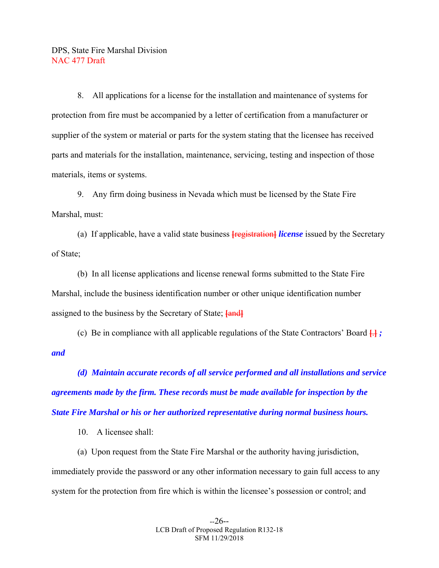8. All applications for a license for the installation and maintenance of systems for protection from fire must be accompanied by a letter of certification from a manufacturer or supplier of the system or material or parts for the system stating that the licensee has received parts and materials for the installation, maintenance, servicing, testing and inspection of those materials, items or systems.

 9. Any firm doing business in Nevada which must be licensed by the State Fire Marshal, must:

 (a) If applicable, have a valid state business **[**registration**]** *license* issued by the Secretary of State;

 (b) In all license applications and license renewal forms submitted to the State Fire Marshal, include the business identification number or other unique identification number assigned to the business by the Secretary of State; **[**and**]**

 (c) Be in compliance with all applicable regulations of the State Contractors' Board **[**.**]** *; and* 

 *(d) Maintain accurate records of all service performed and all installations and service agreements made by the firm. These records must be made available for inspection by the State Fire Marshal or his or her authorized representative during normal business hours.* 

10. A licensee shall:

 (a) Upon request from the State Fire Marshal or the authority having jurisdiction, immediately provide the password or any other information necessary to gain full access to any system for the protection from fire which is within the licensee's possession or control; and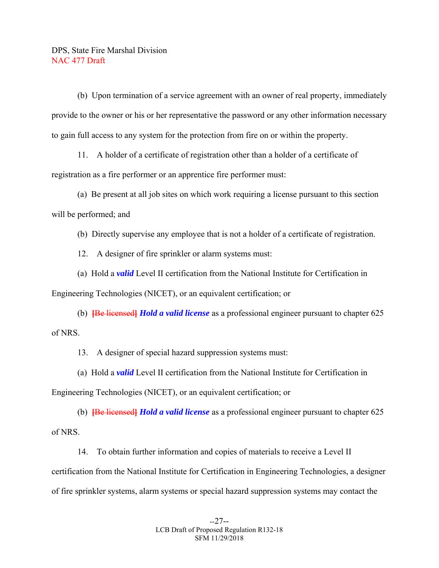(b) Upon termination of a service agreement with an owner of real property, immediately provide to the owner or his or her representative the password or any other information necessary to gain full access to any system for the protection from fire on or within the property.

 11. A holder of a certificate of registration other than a holder of a certificate of registration as a fire performer or an apprentice fire performer must:

 (a) Be present at all job sites on which work requiring a license pursuant to this section will be performed; and

(b) Directly supervise any employee that is not a holder of a certificate of registration.

12. A designer of fire sprinkler or alarm systems must:

 (a) Hold a *valid* Level II certification from the National Institute for Certification in Engineering Technologies (NICET), or an equivalent certification; or

 (b) **[**Be licensed**]** *Hold a valid license* as a professional engineer pursuant to chapter 625 of NRS.

13. A designer of special hazard suppression systems must:

 (a) Hold a *valid* Level II certification from the National Institute for Certification in Engineering Technologies (NICET), or an equivalent certification; or

 (b) **[**Be licensed**]** *Hold a valid license* as a professional engineer pursuant to chapter 625 of NRS.

 14. To obtain further information and copies of materials to receive a Level II certification from the National Institute for Certification in Engineering Technologies, a designer of fire sprinkler systems, alarm systems or special hazard suppression systems may contact the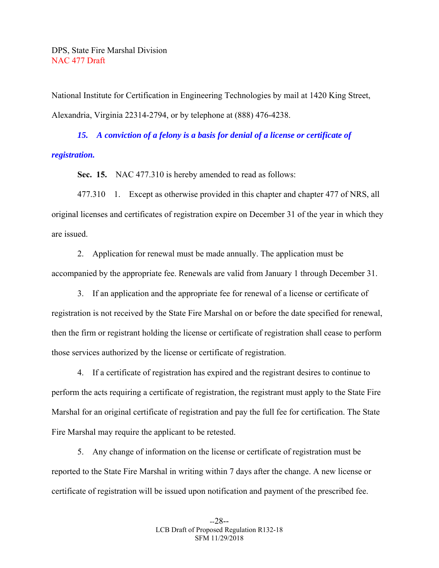National Institute for Certification in Engineering Technologies by mail at 1420 King Street, Alexandria, Virginia 22314-2794, or by telephone at (888) 476-4238.

 *15. A conviction of a felony is a basis for denial of a license or certificate of registration.* 

 **Sec. 15.** NAC 477.310 is hereby amended to read as follows:

 477.310 1. Except as otherwise provided in this chapter and chapter 477 of NRS, all original licenses and certificates of registration expire on December 31 of the year in which they are issued.

 2. Application for renewal must be made annually. The application must be accompanied by the appropriate fee. Renewals are valid from January 1 through December 31.

 3. If an application and the appropriate fee for renewal of a license or certificate of registration is not received by the State Fire Marshal on or before the date specified for renewal, then the firm or registrant holding the license or certificate of registration shall cease to perform those services authorized by the license or certificate of registration.

 4. If a certificate of registration has expired and the registrant desires to continue to perform the acts requiring a certificate of registration, the registrant must apply to the State Fire Marshal for an original certificate of registration and pay the full fee for certification. The State Fire Marshal may require the applicant to be retested.

 5. Any change of information on the license or certificate of registration must be reported to the State Fire Marshal in writing within 7 days after the change. A new license or certificate of registration will be issued upon notification and payment of the prescribed fee.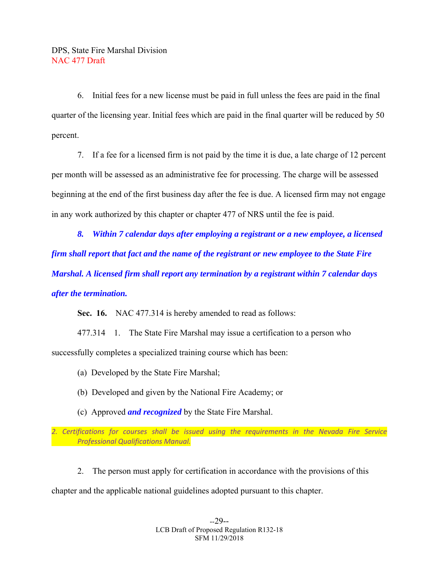6. Initial fees for a new license must be paid in full unless the fees are paid in the final quarter of the licensing year. Initial fees which are paid in the final quarter will be reduced by 50 percent.

 7. If a fee for a licensed firm is not paid by the time it is due, a late charge of 12 percent per month will be assessed as an administrative fee for processing. The charge will be assessed beginning at the end of the first business day after the fee is due. A licensed firm may not engage in any work authorized by this chapter or chapter 477 of NRS until the fee is paid.

 *8. Within 7 calendar days after employing a registrant or a new employee, a licensed firm shall report that fact and the name of the registrant or new employee to the State Fire Marshal. A licensed firm shall report any termination by a registrant within 7 calendar days after the termination.* 

**Sec. 16.** NAC 477.314 is hereby amended to read as follows:

 477.314 1. The State Fire Marshal may issue a certification to a person who successfully completes a specialized training course which has been:

(a) Developed by the State Fire Marshal;

- (b) Developed and given by the National Fire Academy; or
- (c) Approved *and recognized* by the State Fire Marshal.

*2. Certifications for courses shall be issued using the requirements in the Nevada Fire Service Professional Qualifications Manual.* 

2. The person must apply for certification in accordance with the provisions of this

chapter and the applicable national guidelines adopted pursuant to this chapter.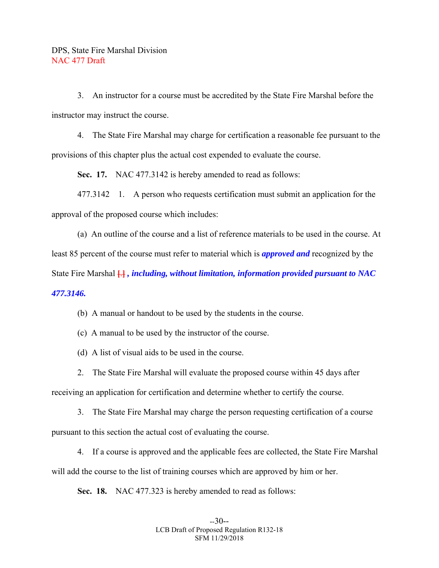3. An instructor for a course must be accredited by the State Fire Marshal before the instructor may instruct the course.

 4. The State Fire Marshal may charge for certification a reasonable fee pursuant to the provisions of this chapter plus the actual cost expended to evaluate the course.

 **Sec. 17.** NAC 477.3142 is hereby amended to read as follows:

 477.3142 1. A person who requests certification must submit an application for the approval of the proposed course which includes:

 (a) An outline of the course and a list of reference materials to be used in the course. At least 85 percent of the course must refer to material which is *approved and* recognized by the State Fire Marshal **[**.**]** *, including, without limitation, information provided pursuant to NAC 477.3146.*

(b) A manual or handout to be used by the students in the course.

(c) A manual to be used by the instructor of the course.

(d) A list of visual aids to be used in the course.

2. The State Fire Marshal will evaluate the proposed course within 45 days after

receiving an application for certification and determine whether to certify the course.

 3. The State Fire Marshal may charge the person requesting certification of a course pursuant to this section the actual cost of evaluating the course.

 4. If a course is approved and the applicable fees are collected, the State Fire Marshal will add the course to the list of training courses which are approved by him or her.

 **Sec. 18.** NAC 477.323 is hereby amended to read as follows: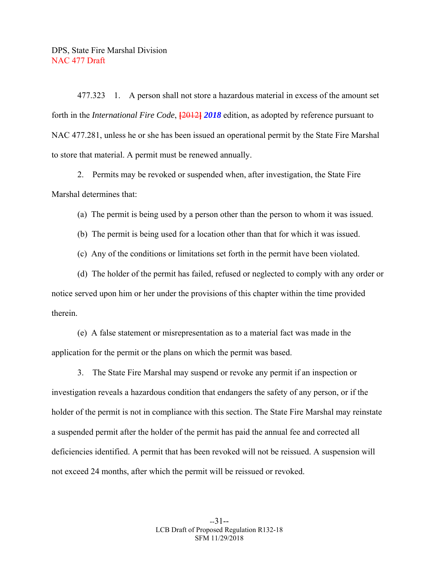477.323 1. A person shall not store a hazardous material in excess of the amount set forth in the *International Fire Code*, **[**2012**]** *2018* edition, as adopted by reference pursuant to NAC 477.281, unless he or she has been issued an operational permit by the State Fire Marshal to store that material. A permit must be renewed annually.

 2. Permits may be revoked or suspended when, after investigation, the State Fire Marshal determines that:

(a) The permit is being used by a person other than the person to whom it was issued.

(b) The permit is being used for a location other than that for which it was issued.

(c) Any of the conditions or limitations set forth in the permit have been violated.

 (d) The holder of the permit has failed, refused or neglected to comply with any order or notice served upon him or her under the provisions of this chapter within the time provided therein.

 (e) A false statement or misrepresentation as to a material fact was made in the application for the permit or the plans on which the permit was based.

 3. The State Fire Marshal may suspend or revoke any permit if an inspection or investigation reveals a hazardous condition that endangers the safety of any person, or if the holder of the permit is not in compliance with this section. The State Fire Marshal may reinstate a suspended permit after the holder of the permit has paid the annual fee and corrected all deficiencies identified. A permit that has been revoked will not be reissued. A suspension will not exceed 24 months, after which the permit will be reissued or revoked.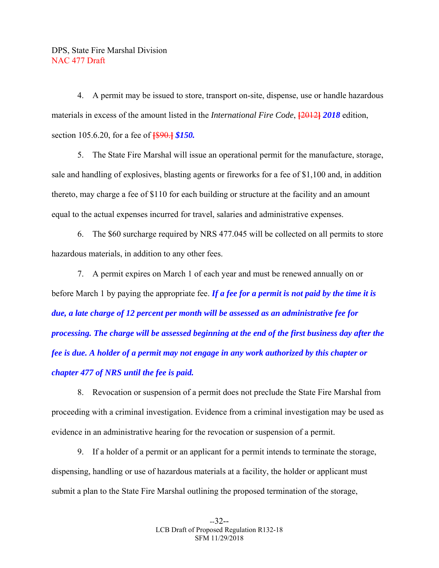4. A permit may be issued to store, transport on-site, dispense, use or handle hazardous materials in excess of the amount listed in the *International Fire Code*, **[**2012**]** *2018* edition, section 105.6.20, for a fee of **[**\$90.**]** *\$150.*

 5. The State Fire Marshal will issue an operational permit for the manufacture, storage, sale and handling of explosives, blasting agents or fireworks for a fee of \$1,100 and, in addition thereto, may charge a fee of \$110 for each building or structure at the facility and an amount equal to the actual expenses incurred for travel, salaries and administrative expenses.

 6. The \$60 surcharge required by NRS 477.045 will be collected on all permits to store hazardous materials, in addition to any other fees.

 7. A permit expires on March 1 of each year and must be renewed annually on or before March 1 by paying the appropriate fee. *If a fee for a permit is not paid by the time it is due, a late charge of 12 percent per month will be assessed as an administrative fee for processing. The charge will be assessed beginning at the end of the first business day after the fee is due. A holder of a permit may not engage in any work authorized by this chapter or chapter 477 of NRS until the fee is paid.*

 8. Revocation or suspension of a permit does not preclude the State Fire Marshal from proceeding with a criminal investigation. Evidence from a criminal investigation may be used as evidence in an administrative hearing for the revocation or suspension of a permit.

 9. If a holder of a permit or an applicant for a permit intends to terminate the storage, dispensing, handling or use of hazardous materials at a facility, the holder or applicant must submit a plan to the State Fire Marshal outlining the proposed termination of the storage,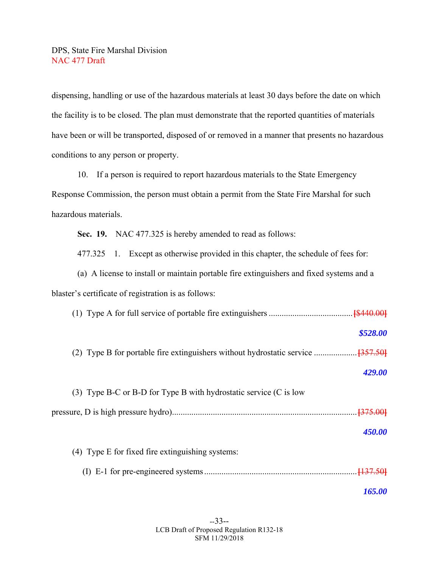dispensing, handling or use of the hazardous materials at least 30 days before the date on which the facility is to be closed. The plan must demonstrate that the reported quantities of materials have been or will be transported, disposed of or removed in a manner that presents no hazardous conditions to any person or property.

 10. If a person is required to report hazardous materials to the State Emergency Response Commission, the person must obtain a permit from the State Fire Marshal for such hazardous materials.

 **Sec. 19.** NAC 477.325 is hereby amended to read as follows:

477.325 1. Except as otherwise provided in this chapter, the schedule of fees for:

 (a) A license to install or maintain portable fire extinguishers and fixed systems and a blaster's certificate of registration is as follows:

| \$528.00                                                          |
|-------------------------------------------------------------------|
|                                                                   |
| 429.00                                                            |
| (3) Type B-C or B-D for Type B with hydrostatic service (C is low |
|                                                                   |
| 450.00                                                            |
| (4) Type E for fixed fire extinguishing systems:                  |
|                                                                   |
| <i><b>165.00</b></i>                                              |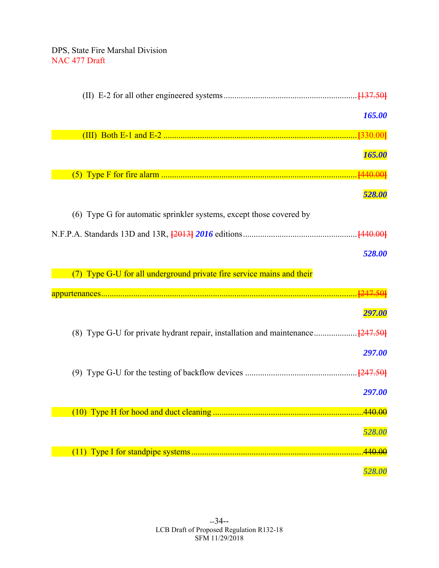| 165.00                                                                |
|-----------------------------------------------------------------------|
|                                                                       |
| 165.00                                                                |
|                                                                       |
| 528.00                                                                |
| (6) Type G for automatic sprinkler systems, except those covered by   |
|                                                                       |
| 528.00                                                                |
| (7) Type G-U for all underground private fire service mains and their |
|                                                                       |
| 297.00                                                                |
|                                                                       |
| 297.00                                                                |
|                                                                       |
| 297.00                                                                |
|                                                                       |
| 528.00                                                                |
| .440.00                                                               |
| 528.00                                                                |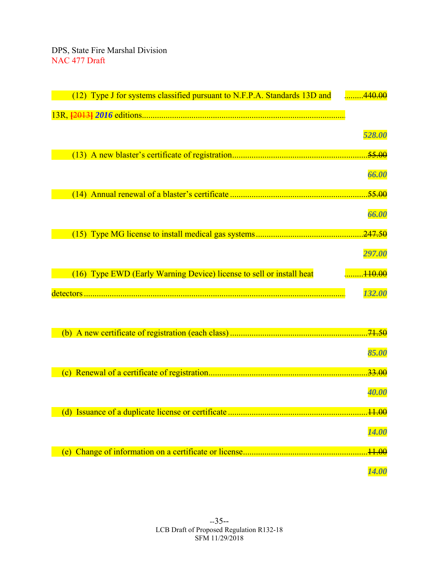| (12) Type J for systems classified pursuant to N.F.P.A. Standards 13D and | 440.00              |
|---------------------------------------------------------------------------|---------------------|
|                                                                           |                     |
|                                                                           | 528.00              |
|                                                                           | .55.00              |
|                                                                           | 66.00               |
| (14)                                                                      | .55.00              |
|                                                                           | 66.00               |
|                                                                           | .247.50             |
|                                                                           | 297.00              |
| (16) Type EWD (Early Warning Device) license to sell or install heat      | . <del>110.00</del> |
|                                                                           |                     |
|                                                                           |                     |
|                                                                           | 132.00              |
|                                                                           |                     |
|                                                                           | .71.50              |
|                                                                           | 85.00               |
| (c)                                                                       | <del>33.00</del>    |
|                                                                           | <i><b>40.00</b></i> |
|                                                                           | .44.00              |
|                                                                           | <b>14.00</b>        |
|                                                                           | .44.00              |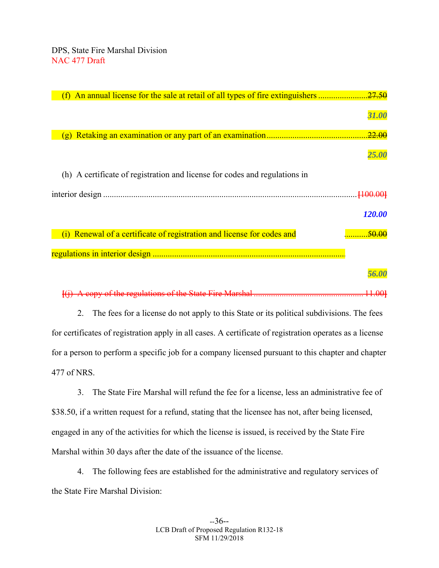|                                                                            | 31.00               |
|----------------------------------------------------------------------------|---------------------|
|                                                                            | .22.00              |
|                                                                            |                     |
|                                                                            | <i><b>25.00</b></i> |
| (h) A certificate of registration and license for codes and regulations in |                     |
|                                                                            |                     |
|                                                                            | 120.00              |
|                                                                            |                     |
| (i) Renewal of a certificate of registration and license for codes and     | <del>.50.00</del>   |
|                                                                            |                     |
|                                                                            |                     |
|                                                                            |                     |

**[**(j) A copy of the regulations of the State Fire Marshal ................................................... 11.00**]**

 2. The fees for a license do not apply to this State or its political subdivisions. The fees for certificates of registration apply in all cases. A certificate of registration operates as a license for a person to perform a specific job for a company licensed pursuant to this chapter and chapter 477 of NRS.

 3. The State Fire Marshal will refund the fee for a license, less an administrative fee of \$38.50, if a written request for a refund, stating that the licensee has not, after being licensed, engaged in any of the activities for which the license is issued, is received by the State Fire Marshal within 30 days after the date of the issuance of the license.

 4. The following fees are established for the administrative and regulatory services of the State Fire Marshal Division: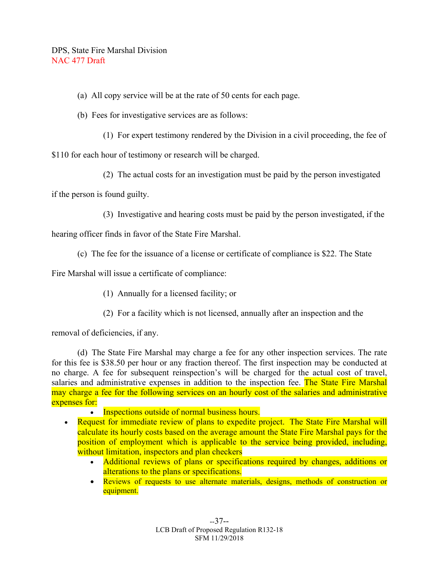- (a) All copy service will be at the rate of 50 cents for each page.
- (b) Fees for investigative services are as follows:
	- (1) For expert testimony rendered by the Division in a civil proceeding, the fee of

\$110 for each hour of testimony or research will be charged.

(2) The actual costs for an investigation must be paid by the person investigated

if the person is found guilty.

(3) Investigative and hearing costs must be paid by the person investigated, if the

hearing officer finds in favor of the State Fire Marshal.

(c) The fee for the issuance of a license or certificate of compliance is \$22. The State

Fire Marshal will issue a certificate of compliance:

- (1) Annually for a licensed facility; or
- (2) For a facility which is not licensed, annually after an inspection and the

removal of deficiencies, if any.

 (d) The State Fire Marshal may charge a fee for any other inspection services. The rate for this fee is \$38.50 per hour or any fraction thereof. The first inspection may be conducted at no charge. A fee for subsequent reinspection's will be charged for the actual cost of travel, salaries and administrative expenses in addition to the inspection fee. The State Fire Marshal may charge a fee for the following services on an hourly cost of the salaries and administrative expenses for:

- Inspections outside of normal business hours.
- Request for immediate review of plans to expedite project. The State Fire Marshal will calculate its hourly costs based on the average amount the State Fire Marshal pays for the position of employment which is applicable to the service being provided, including, without limitation, inspectors and plan checkers
	- Additional reviews of plans or specifications required by changes, additions or alterations to the plans or specifications.
	- Reviews of requests to use alternate materials, designs, methods of construction or equipment.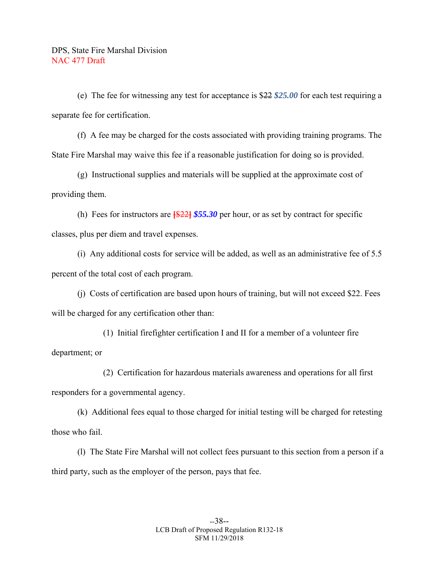(e) The fee for witnessing any test for acceptance is \$22 *\$25.00* for each test requiring a separate fee for certification.

 (f) A fee may be charged for the costs associated with providing training programs. The State Fire Marshal may waive this fee if a reasonable justification for doing so is provided.

 (g) Instructional supplies and materials will be supplied at the approximate cost of providing them.

 (h) Fees for instructors are **[**\$22**]** *\$55.30* per hour, or as set by contract for specific classes, plus per diem and travel expenses.

 (i) Any additional costs for service will be added, as well as an administrative fee of 5.5 percent of the total cost of each program.

 (j) Costs of certification are based upon hours of training, but will not exceed \$22. Fees will be charged for any certification other than:

 (1) Initial firefighter certification I and II for a member of a volunteer fire department; or

 (2) Certification for hazardous materials awareness and operations for all first responders for a governmental agency.

 (k) Additional fees equal to those charged for initial testing will be charged for retesting those who fail.

 (l) The State Fire Marshal will not collect fees pursuant to this section from a person if a third party, such as the employer of the person, pays that fee.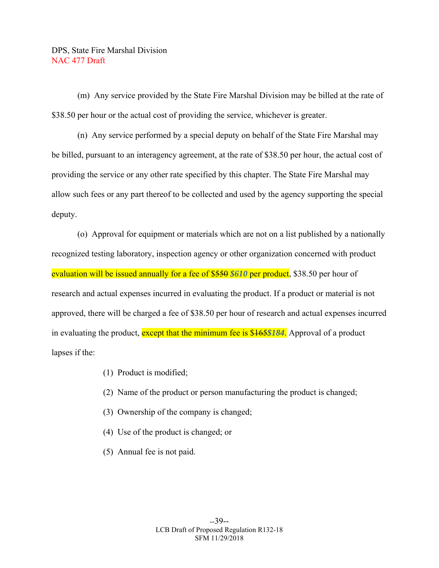(m) Any service provided by the State Fire Marshal Division may be billed at the rate of \$38.50 per hour or the actual cost of providing the service, whichever is greater.

 (n) Any service performed by a special deputy on behalf of the State Fire Marshal may be billed, pursuant to an interagency agreement, at the rate of \$38.50 per hour, the actual cost of providing the service or any other rate specified by this chapter. The State Fire Marshal may allow such fees or any part thereof to be collected and used by the agency supporting the special deputy.

 (o) Approval for equipment or materials which are not on a list published by a nationally recognized testing laboratory, inspection agency or other organization concerned with product evaluation will be issued annually for a fee of \$550 \$610 per product, \$38.50 per hour of research and actual expenses incurred in evaluating the product. If a product or material is not approved, there will be charged a fee of \$38.50 per hour of research and actual expenses incurred in evaluating the product, except that the minimum fee is \$165*\$184*. Approval of a product lapses if the:

- (1) Product is modified;
- (2) Name of the product or person manufacturing the product is changed;
- (3) Ownership of the company is changed;
- (4) Use of the product is changed; or
- (5) Annual fee is not paid.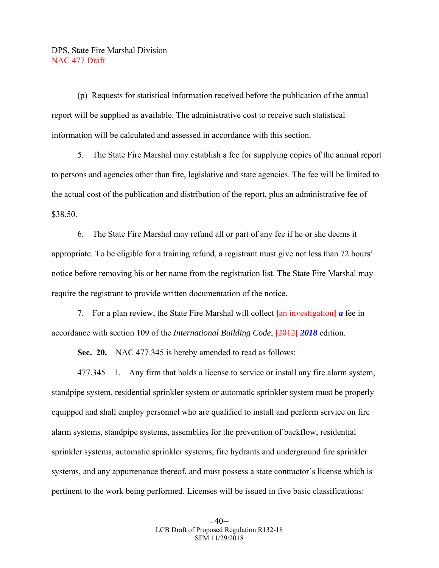(p) Requests for statistical information received before the publication of the annual report will be supplied as available. The administrative cost to receive such statistical information will be calculated and assessed in accordance with this section.

 5. The State Fire Marshal may establish a fee for supplying copies of the annual report to persons and agencies other than fire, legislative and state agencies. The fee will be limited to the actual cost of the publication and distribution of the report, plus an administrative fee of \$38.50.

 6. The State Fire Marshal may refund all or part of any fee if he or she deems it appropriate. To be eligible for a training refund, a registrant must give not less than 72 hours' notice before removing his or her name from the registration list. The State Fire Marshal may require the registrant to provide written documentation of the notice.

 7. For a plan review, the State Fire Marshal will collect **[**an investigation**]** *a* fee in accordance with section 109 of the *International Building Code*, **[**2012**]** *2018* edition.

 **Sec. 20.** NAC 477.345 is hereby amended to read as follows:

 477.345 1. Any firm that holds a license to service or install any fire alarm system, standpipe system, residential sprinkler system or automatic sprinkler system must be properly equipped and shall employ personnel who are qualified to install and perform service on fire alarm systems, standpipe systems, assemblies for the prevention of backflow, residential sprinkler systems, automatic sprinkler systems, fire hydrants and underground fire sprinkler systems, and any appurtenance thereof, and must possess a state contractor's license which is pertinent to the work being performed. Licenses will be issued in five basic classifications: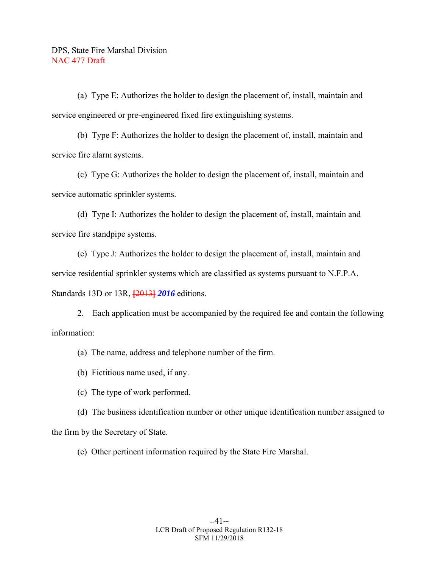(a) Type E: Authorizes the holder to design the placement of, install, maintain and service engineered or pre-engineered fixed fire extinguishing systems.

 (b) Type F: Authorizes the holder to design the placement of, install, maintain and service fire alarm systems.

 (c) Type G: Authorizes the holder to design the placement of, install, maintain and service automatic sprinkler systems.

 (d) Type I: Authorizes the holder to design the placement of, install, maintain and service fire standpipe systems.

 (e) Type J: Authorizes the holder to design the placement of, install, maintain and service residential sprinkler systems which are classified as systems pursuant to N.F.P.A. Standards 13D or 13R, **[**2013**]** *2016* editions.

 2. Each application must be accompanied by the required fee and contain the following information:

(a) The name, address and telephone number of the firm.

(b) Fictitious name used, if any.

(c) The type of work performed.

 (d) The business identification number or other unique identification number assigned to the firm by the Secretary of State.

(e) Other pertinent information required by the State Fire Marshal.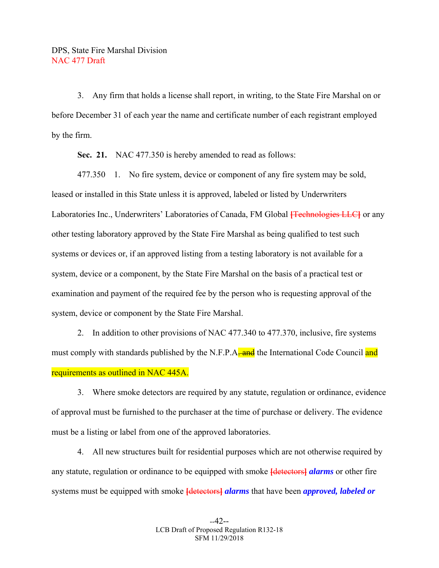3. Any firm that holds a license shall report, in writing, to the State Fire Marshal on or before December 31 of each year the name and certificate number of each registrant employed by the firm.

 **Sec. 21.** NAC 477.350 is hereby amended to read as follows:

 477.350 1. No fire system, device or component of any fire system may be sold, leased or installed in this State unless it is approved, labeled or listed by Underwriters Laboratories Inc., Underwriters' Laboratories of Canada, FM Global **[**Technologies LLC**]** or any other testing laboratory approved by the State Fire Marshal as being qualified to test such systems or devices or, if an approved listing from a testing laboratory is not available for a system, device or a component, by the State Fire Marshal on the basis of a practical test or examination and payment of the required fee by the person who is requesting approval of the system, device or component by the State Fire Marshal.

 2. In addition to other provisions of NAC 477.340 to 477.370, inclusive, fire systems must comply with standards published by the N.F.P.A. and the International Code Council and requirements as outlined in NAC 445A.

 3. Where smoke detectors are required by any statute, regulation or ordinance, evidence of approval must be furnished to the purchaser at the time of purchase or delivery. The evidence must be a listing or label from one of the approved laboratories.

 4. All new structures built for residential purposes which are not otherwise required by any statute, regulation or ordinance to be equipped with smoke **[**detectors**]** *alarms* or other fire systems must be equipped with smoke **[**detectors**]** *alarms* that have been *approved, labeled or*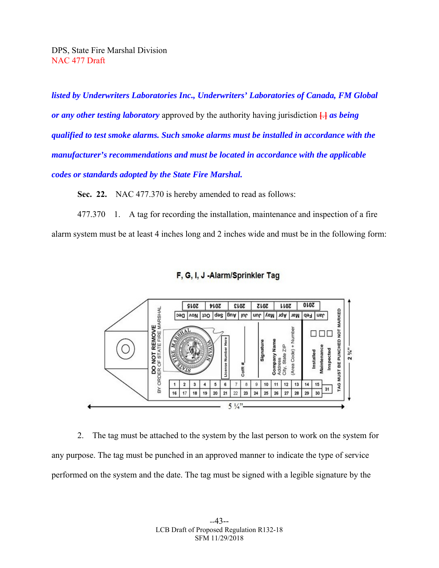*listed by Underwriters Laboratories Inc., Underwriters' Laboratories of Canada, FM Global or any other testing laboratory* approved by the authority having jurisdiction **[**.**]** *as being qualified to test smoke alarms. Such smoke alarms must be installed in accordance with the manufacturer's recommendations and must be located in accordance with the applicable codes or standards adopted by the State Fire Marshal.* 

 **Sec. 22.** NAC 477.370 is hereby amended to read as follows:

 477.370 1. A tag for recording the installation, maintenance and inspection of a fire alarm system must be at least 4 inches long and 2 inches wide and must be in the following form:





 2. The tag must be attached to the system by the last person to work on the system for any purpose. The tag must be punched in an approved manner to indicate the type of service performed on the system and the date. The tag must be signed with a legible signature by the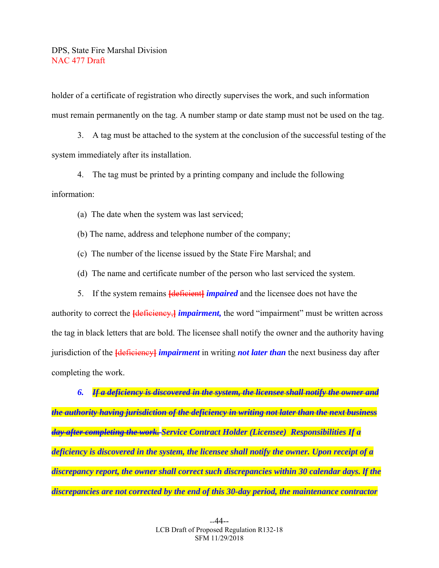holder of a certificate of registration who directly supervises the work, and such information must remain permanently on the tag. A number stamp or date stamp must not be used on the tag.

 3. A tag must be attached to the system at the conclusion of the successful testing of the system immediately after its installation.

 4. The tag must be printed by a printing company and include the following information:

(a) The date when the system was last serviced;

(b) The name, address and telephone number of the company;

(c) The number of the license issued by the State Fire Marshal; and

(d) The name and certificate number of the person who last serviced the system.

5. If the system remains **[**deficient**]** *impaired* and the licensee does not have the

authority to correct the **[**deficiency, *impairment*, the word "impairment" must be written across the tag in black letters that are bold. The licensee shall notify the owner and the authority having jurisdiction of the **[**deficiency**]** *impairment* in writing *not later than* the next business day after completing the work.

 *6. If a deficiency is discovered in the system, the licensee shall notify the owner and the authority having jurisdiction of the deficiency in writing not later than the next business day after completing the work. Service Contract Holder (Licensee) Responsibilities If a deficiency is discovered in the system, the licensee shall notify the owner. Upon receipt of a discrepancy report, the owner shall correct such discrepancies within 30 calendar days. lf the discrepancies are not corrected by the end of this 30-day period, the maintenance contractor*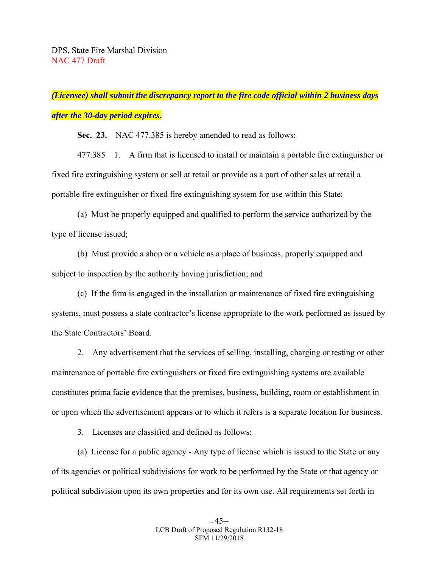# *(Licensee) shall submit the discrepancy report to the fire code official within 2 business days after the 30-day period expires.*

 **Sec. 23.** NAC 477.385 is hereby amended to read as follows:

 477.385 1. A firm that is licensed to install or maintain a portable fire extinguisher or fixed fire extinguishing system or sell at retail or provide as a part of other sales at retail a portable fire extinguisher or fixed fire extinguishing system for use within this State:

 (a) Must be properly equipped and qualified to perform the service authorized by the type of license issued;

 (b) Must provide a shop or a vehicle as a place of business, properly equipped and subject to inspection by the authority having jurisdiction; and

 (c) If the firm is engaged in the installation or maintenance of fixed fire extinguishing systems, must possess a state contractor's license appropriate to the work performed as issued by the State Contractors' Board.

 2. Any advertisement that the services of selling, installing, charging or testing or other maintenance of portable fire extinguishers or fixed fire extinguishing systems are available constitutes prima facie evidence that the premises, business, building, room or establishment in or upon which the advertisement appears or to which it refers is a separate location for business.

3. Licenses are classified and defined as follows:

 (a) License for a public agency - Any type of license which is issued to the State or any of its agencies or political subdivisions for work to be performed by the State or that agency or political subdivision upon its own properties and for its own use. All requirements set forth in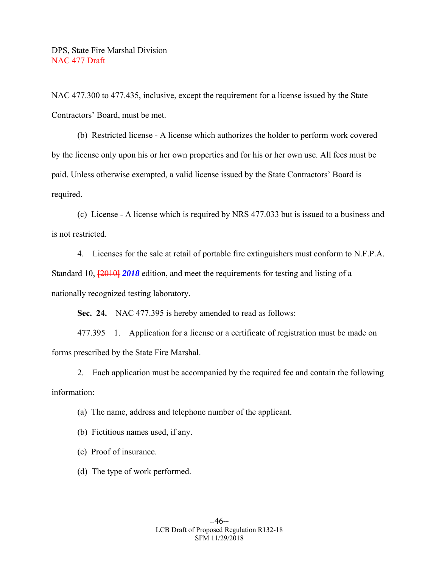NAC 477.300 to 477.435, inclusive, except the requirement for a license issued by the State Contractors' Board, must be met.

 (b) Restricted license - A license which authorizes the holder to perform work covered by the license only upon his or her own properties and for his or her own use. All fees must be paid. Unless otherwise exempted, a valid license issued by the State Contractors' Board is required.

 (c) License - A license which is required by NRS 477.033 but is issued to a business and is not restricted.

 4. Licenses for the sale at retail of portable fire extinguishers must conform to N.F.P.A. Standard 10, **[**2010**]** *2018* edition, and meet the requirements for testing and listing of a nationally recognized testing laboratory.

 **Sec. 24.** NAC 477.395 is hereby amended to read as follows:

 477.395 1. Application for a license or a certificate of registration must be made on forms prescribed by the State Fire Marshal.

 2. Each application must be accompanied by the required fee and contain the following information:

(a) The name, address and telephone number of the applicant.

(b) Fictitious names used, if any.

(c) Proof of insurance.

(d) The type of work performed.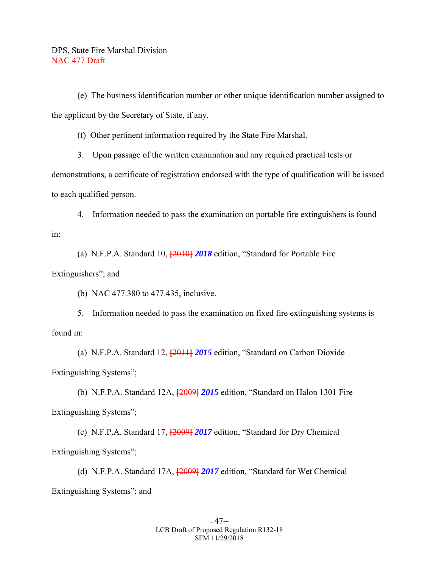(e) The business identification number or other unique identification number assigned to the applicant by the Secretary of State, if any.

(f) Other pertinent information required by the State Fire Marshal.

3. Upon passage of the written examination and any required practical tests or

demonstrations, a certificate of registration endorsed with the type of qualification will be issued to each qualified person.

 4. Information needed to pass the examination on portable fire extinguishers is found in:

(a) N.F.P.A. Standard 10, **[**2010**]** *2018* edition, "Standard for Portable Fire

#### Extinguishers"; and

(b) NAC 477.380 to 477.435, inclusive.

 5. Information needed to pass the examination on fixed fire extinguishing systems is found in:

 (a) N.F.P.A. Standard 12, **[**2011**]** *2015* edition, "Standard on Carbon Dioxide Extinguishing Systems";

 (b) N.F.P.A. Standard 12A, **[**2009**]** *2015* edition, "Standard on Halon 1301 Fire Extinguishing Systems";

 (c) N.F.P.A. Standard 17, **[**2009**]** *2017* edition, "Standard for Dry Chemical Extinguishing Systems";

 (d) N.F.P.A. Standard 17A, **[**2009**]** *2017* edition, "Standard for Wet Chemical Extinguishing Systems"; and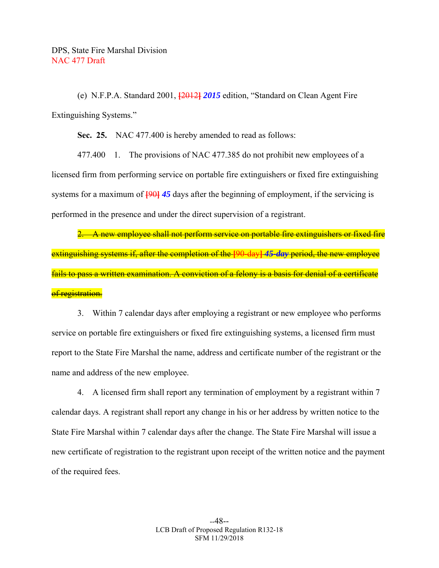(e) N.F.P.A. Standard 2001, **[**2012**]** *2015* edition, "Standard on Clean Agent Fire Extinguishing Systems."

 **Sec. 25.** NAC 477.400 is hereby amended to read as follows:

 477.400 1. The provisions of NAC 477.385 do not prohibit new employees of a licensed firm from performing service on portable fire extinguishers or fixed fire extinguishing systems for a maximum of **[**90**]** *45* days after the beginning of employment, if the servicing is performed in the presence and under the direct supervision of a registrant.

2. A new employee shall not perform service on portable fire extinguishers or fixed fire extinguishing systems if, after the completion of the **[**90-day**]** *45-day* period, the new employee fails to pass a written examination. A conviction of a felony is a basis for denial of a certificate of registration.

 3. Within 7 calendar days after employing a registrant or new employee who performs service on portable fire extinguishers or fixed fire extinguishing systems, a licensed firm must report to the State Fire Marshal the name, address and certificate number of the registrant or the name and address of the new employee.

 4. A licensed firm shall report any termination of employment by a registrant within 7 calendar days. A registrant shall report any change in his or her address by written notice to the State Fire Marshal within 7 calendar days after the change. The State Fire Marshal will issue a new certificate of registration to the registrant upon receipt of the written notice and the payment of the required fees.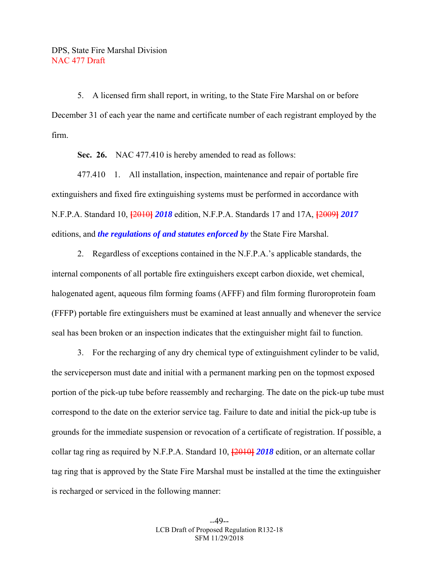5. A licensed firm shall report, in writing, to the State Fire Marshal on or before December 31 of each year the name and certificate number of each registrant employed by the firm.

 **Sec. 26.** NAC 477.410 is hereby amended to read as follows:

 477.410 1. All installation, inspection, maintenance and repair of portable fire extinguishers and fixed fire extinguishing systems must be performed in accordance with N.F.P.A. Standard 10, **[**2010**]** *2018* edition, N.F.P.A. Standards 17 and 17A, **[**2009**]** *2017*  editions, and *the regulations of and statutes enforced by* the State Fire Marshal.

 2. Regardless of exceptions contained in the N.F.P.A.'s applicable standards, the internal components of all portable fire extinguishers except carbon dioxide, wet chemical, halogenated agent, aqueous film forming foams (AFFF) and film forming fluroroprotein foam (FFFP) portable fire extinguishers must be examined at least annually and whenever the service seal has been broken or an inspection indicates that the extinguisher might fail to function.

 3. For the recharging of any dry chemical type of extinguishment cylinder to be valid, the serviceperson must date and initial with a permanent marking pen on the topmost exposed portion of the pick-up tube before reassembly and recharging. The date on the pick-up tube must correspond to the date on the exterior service tag. Failure to date and initial the pick-up tube is grounds for the immediate suspension or revocation of a certificate of registration. If possible, a collar tag ring as required by N.F.P.A. Standard 10, **[**2010**]** *2018* edition, or an alternate collar tag ring that is approved by the State Fire Marshal must be installed at the time the extinguisher is recharged or serviced in the following manner: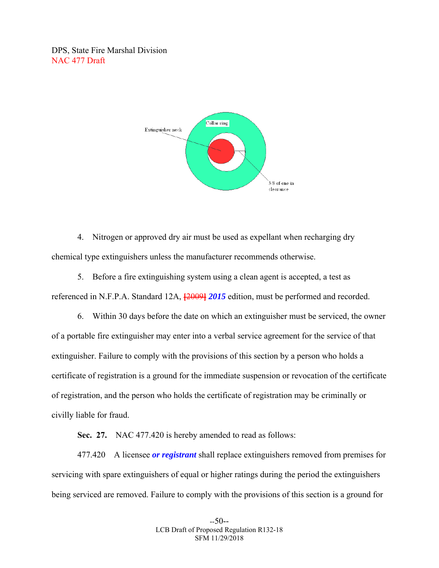

 4. Nitrogen or approved dry air must be used as expellant when recharging dry chemical type extinguishers unless the manufacturer recommends otherwise.

 5. Before a fire extinguishing system using a clean agent is accepted, a test as referenced in N.F.P.A. Standard 12A,  $\frac{120091}{2015}$  edition, must be performed and recorded.

 6. Within 30 days before the date on which an extinguisher must be serviced, the owner of a portable fire extinguisher may enter into a verbal service agreement for the service of that extinguisher. Failure to comply with the provisions of this section by a person who holds a certificate of registration is a ground for the immediate suspension or revocation of the certificate of registration, and the person who holds the certificate of registration may be criminally or civilly liable for fraud.

Sec. 27. NAC 477.420 is hereby amended to read as follows:

 477.420 A licensee *or registrant* shall replace extinguishers removed from premises for servicing with spare extinguishers of equal or higher ratings during the period the extinguishers being serviced are removed. Failure to comply with the provisions of this section is a ground for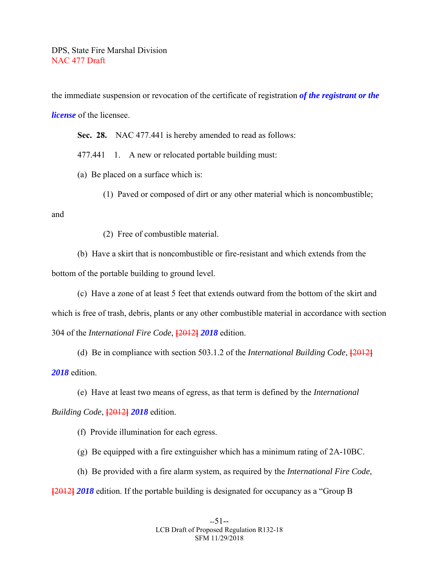the immediate suspension or revocation of the certificate of registration *of the registrant or the license* of the licensee.

**Sec. 28.** NAC 477.441 is hereby amended to read as follows:

477.441 1. A new or relocated portable building must:

(a) Be placed on a surface which is:

(1) Paved or composed of dirt or any other material which is noncombustible;

and

(2) Free of combustible material.

 (b) Have a skirt that is noncombustible or fire-resistant and which extends from the bottom of the portable building to ground level.

 (c) Have a zone of at least 5 feet that extends outward from the bottom of the skirt and which is free of trash, debris, plants or any other combustible material in accordance with section 304 of the *International Fire Code*, **[**2012**]** *2018* edition.

 (d) Be in compliance with section 503.1.2 of the *International Building Code*, **[**2012**]** *2018* edition.

 (e) Have at least two means of egress, as that term is defined by the *International Building Code*, **[**2012**]** *2018* edition.

(f) Provide illumination for each egress.

(g) Be equipped with a fire extinguisher which has a minimum rating of 2A-10BC.

(h) Be provided with a fire alarm system, as required by the *International Fire Code*,

**[**2012**]** *2018* edition. If the portable building is designated for occupancy as a "Group B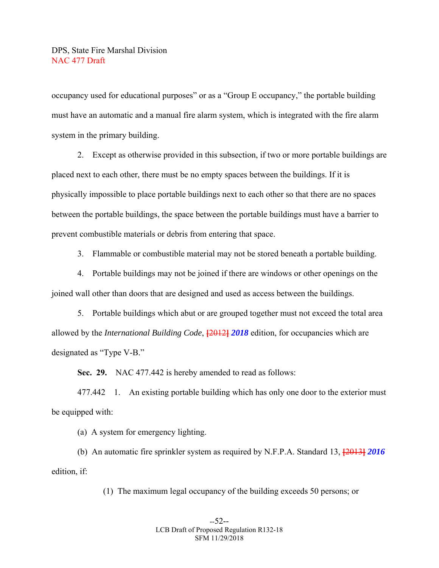occupancy used for educational purposes" or as a "Group E occupancy," the portable building must have an automatic and a manual fire alarm system, which is integrated with the fire alarm system in the primary building.

 2. Except as otherwise provided in this subsection, if two or more portable buildings are placed next to each other, there must be no empty spaces between the buildings. If it is physically impossible to place portable buildings next to each other so that there are no spaces between the portable buildings, the space between the portable buildings must have a barrier to prevent combustible materials or debris from entering that space.

3. Flammable or combustible material may not be stored beneath a portable building.

 4. Portable buildings may not be joined if there are windows or other openings on the joined wall other than doors that are designed and used as access between the buildings.

 5. Portable buildings which abut or are grouped together must not exceed the total area allowed by the *International Building Code*, **[**2012**]** *2018* edition, for occupancies which are designated as "Type V-B."

 **Sec. 29.** NAC 477.442 is hereby amended to read as follows:

 477.442 1. An existing portable building which has only one door to the exterior must be equipped with:

(a) A system for emergency lighting.

 (b) An automatic fire sprinkler system as required by N.F.P.A. Standard 13, **[**2013**]** *2016*  edition, if:

(1) The maximum legal occupancy of the building exceeds 50 persons; or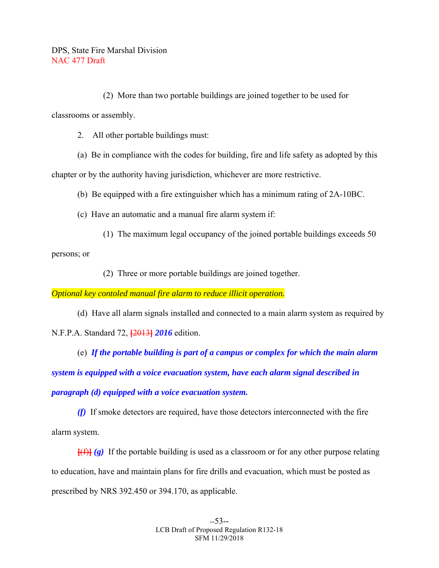(2) More than two portable buildings are joined together to be used for classrooms or assembly.

2. All other portable buildings must:

 (a) Be in compliance with the codes for building, fire and life safety as adopted by this chapter or by the authority having jurisdiction, whichever are more restrictive.

(b) Be equipped with a fire extinguisher which has a minimum rating of 2A-10BC.

(c) Have an automatic and a manual fire alarm system if:

(1) The maximum legal occupancy of the joined portable buildings exceeds 50

persons; or

(2) Three or more portable buildings are joined together.

*Optional key contoled manual fire alarm to reduce illicit operation.*

 (d) Have all alarm signals installed and connected to a main alarm system as required by N.F.P.A. Standard 72, **[**2013**]** *2016* edition.

 (e) *If the portable building is part of a campus or complex for which the main alarm system is equipped with a voice evacuation system, have each alarm signal described in paragraph (d) equipped with a voice evacuation system.* 

 *(f)* If smoke detectors are required, have those detectors interconnected with the fire alarm system.

 $[\frac{f(f)}{g}]$  If the portable building is used as a classroom or for any other purpose relating to education, have and maintain plans for fire drills and evacuation, which must be posted as prescribed by NRS 392.450 or 394.170, as applicable.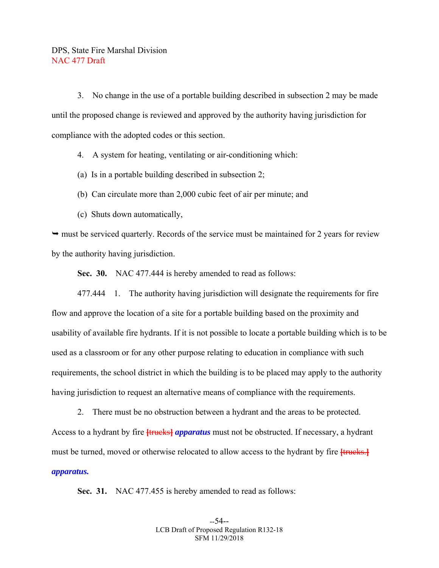3. No change in the use of a portable building described in subsection 2 may be made until the proposed change is reviewed and approved by the authority having jurisdiction for compliance with the adopted codes or this section.

4. A system for heating, ventilating or air-conditioning which:

(a) Is in a portable building described in subsection 2;

(b) Can circulate more than 2,000 cubic feet of air per minute; and

(c) Shuts down automatically,

 $\rightarrow$  must be serviced quarterly. Records of the service must be maintained for 2 years for review by the authority having jurisdiction.

 **Sec. 30.** NAC 477.444 is hereby amended to read as follows:

 477.444 1. The authority having jurisdiction will designate the requirements for fire flow and approve the location of a site for a portable building based on the proximity and usability of available fire hydrants. If it is not possible to locate a portable building which is to be used as a classroom or for any other purpose relating to education in compliance with such requirements, the school district in which the building is to be placed may apply to the authority having jurisdiction to request an alternative means of compliance with the requirements.

 2. There must be no obstruction between a hydrant and the areas to be protected. Access to a hydrant by fire **[**trucks**]** *apparatus* must not be obstructed. If necessary, a hydrant must be turned, moved or otherwise relocated to allow access to the hydrant by fire **[**trucks.] *apparatus.* 

 **Sec. 31.** NAC 477.455 is hereby amended to read as follows: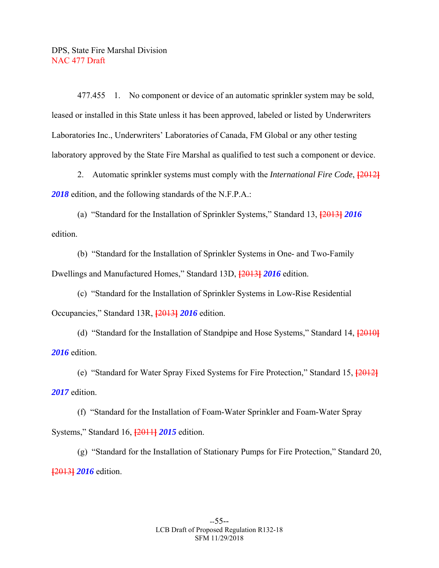477.455 1. No component or device of an automatic sprinkler system may be sold, leased or installed in this State unless it has been approved, labeled or listed by Underwriters Laboratories Inc., Underwriters' Laboratories of Canada, FM Global or any other testing laboratory approved by the State Fire Marshal as qualified to test such a component or device.

 2. Automatic sprinkler systems must comply with the *International Fire Code*, **[**2012**]** *2018* edition, and the following standards of the N.F.P.A.:

 (a) "Standard for the Installation of Sprinkler Systems," Standard 13, **[**2013**]** *2016*  edition.

 (b) "Standard for the Installation of Sprinkler Systems in One- and Two-Family Dwellings and Manufactured Homes," Standard 13D, **[**2013**]** *2016* edition.

 (c) "Standard for the Installation of Sprinkler Systems in Low-Rise Residential Occupancies," Standard 13R, **[**2013**]** *2016* edition.

 (d) "Standard for the Installation of Standpipe and Hose Systems," Standard 14, **[**2010**]** *2016* edition.

 (e) "Standard for Water Spray Fixed Systems for Fire Protection," Standard 15, **[**2012**]** *2017* edition.

 (f) "Standard for the Installation of Foam-Water Sprinkler and Foam-Water Spray Systems," Standard 16, **[**2011**]** *2015* edition.

 (g) "Standard for the Installation of Stationary Pumps for Fire Protection," Standard 20, **[**2013**]** *2016* edition.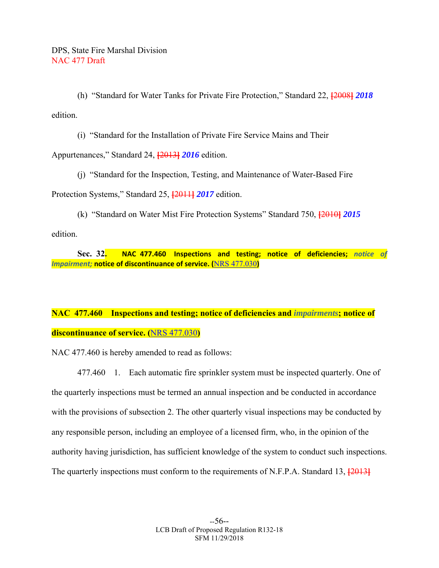(h) "Standard for Water Tanks for Private Fire Protection," Standard 22, **[**2008**]** *2018*  edition.

(i) "Standard for the Installation of Private Fire Service Mains and Their

Appurtenances," Standard 24, **[**2013**]** *2016* edition.

 (j) "Standard for the Inspection, Testing, and Maintenance of Water-Based Fire Protection Systems," Standard 25, **[**2011**]** *2017* edition.

 (k) "Standard on Water Mist Fire Protection Systems" Standard 750, **[**2010**]** *2015*  edition.

 **Sec. 32. NAC 477.460 Inspections and testing; notice of deficiencies;**  *notice of Impairment;* **notice of discontinuance of service. (**NRS 477.030**)**

# **NAC 477.460 Inspections and testing; notice of deficiencies and** *impairments***; notice of discontinuance of service. (**NRS 477.030**)**

NAC 477.460 is hereby amended to read as follows:

 477.460 1. Each automatic fire sprinkler system must be inspected quarterly. One of the quarterly inspections must be termed an annual inspection and be conducted in accordance with the provisions of subsection 2. The other quarterly visual inspections may be conducted by any responsible person, including an employee of a licensed firm, who, in the opinion of the authority having jurisdiction, has sufficient knowledge of the system to conduct such inspections. The quarterly inspections must conform to the requirements of N.F.P.A. Standard 13, **[**2013**]**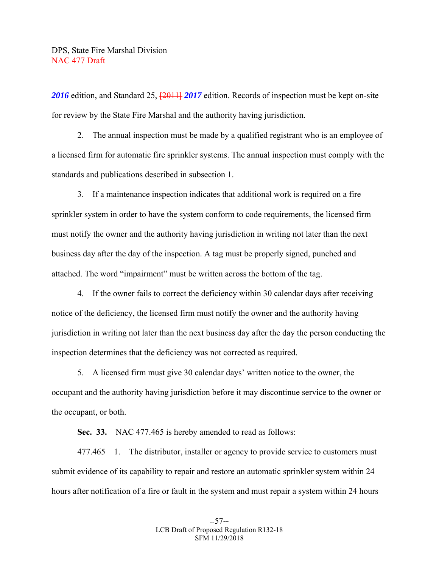*2016* edition, and Standard 25, **[**2011**]** *2017* edition. Records of inspection must be kept on-site for review by the State Fire Marshal and the authority having jurisdiction.

 2. The annual inspection must be made by a qualified registrant who is an employee of a licensed firm for automatic fire sprinkler systems. The annual inspection must comply with the standards and publications described in subsection 1.

 3. If a maintenance inspection indicates that additional work is required on a fire sprinkler system in order to have the system conform to code requirements, the licensed firm must notify the owner and the authority having jurisdiction in writing not later than the next business day after the day of the inspection. A tag must be properly signed, punched and attached. The word "impairment" must be written across the bottom of the tag.

 4. If the owner fails to correct the deficiency within 30 calendar days after receiving notice of the deficiency, the licensed firm must notify the owner and the authority having jurisdiction in writing not later than the next business day after the day the person conducting the inspection determines that the deficiency was not corrected as required.

 5. A licensed firm must give 30 calendar days' written notice to the owner, the occupant and the authority having jurisdiction before it may discontinue service to the owner or the occupant, or both.

 **Sec. 33.** NAC 477.465 is hereby amended to read as follows:

 477.465 1. The distributor, installer or agency to provide service to customers must submit evidence of its capability to repair and restore an automatic sprinkler system within 24 hours after notification of a fire or fault in the system and must repair a system within 24 hours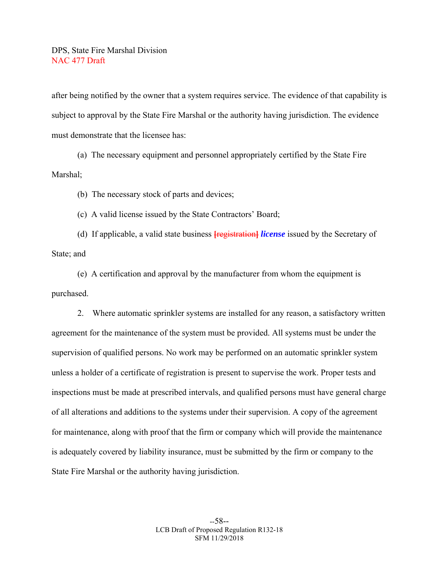after being notified by the owner that a system requires service. The evidence of that capability is subject to approval by the State Fire Marshal or the authority having jurisdiction. The evidence must demonstrate that the licensee has:

 (a) The necessary equipment and personnel appropriately certified by the State Fire Marshal;

(b) The necessary stock of parts and devices;

(c) A valid license issued by the State Contractors' Board;

 (d) If applicable, a valid state business **[**registration**]** *license* issued by the Secretary of State; and

 (e) A certification and approval by the manufacturer from whom the equipment is purchased.

 2. Where automatic sprinkler systems are installed for any reason, a satisfactory written agreement for the maintenance of the system must be provided. All systems must be under the supervision of qualified persons. No work may be performed on an automatic sprinkler system unless a holder of a certificate of registration is present to supervise the work. Proper tests and inspections must be made at prescribed intervals, and qualified persons must have general charge of all alterations and additions to the systems under their supervision. A copy of the agreement for maintenance, along with proof that the firm or company which will provide the maintenance is adequately covered by liability insurance, must be submitted by the firm or company to the State Fire Marshal or the authority having jurisdiction.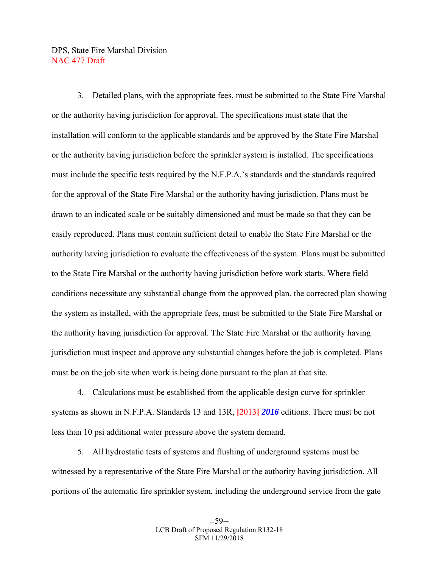3. Detailed plans, with the appropriate fees, must be submitted to the State Fire Marshal or the authority having jurisdiction for approval. The specifications must state that the installation will conform to the applicable standards and be approved by the State Fire Marshal or the authority having jurisdiction before the sprinkler system is installed. The specifications must include the specific tests required by the N.F.P.A.'s standards and the standards required for the approval of the State Fire Marshal or the authority having jurisdiction. Plans must be drawn to an indicated scale or be suitably dimensioned and must be made so that they can be easily reproduced. Plans must contain sufficient detail to enable the State Fire Marshal or the authority having jurisdiction to evaluate the effectiveness of the system. Plans must be submitted to the State Fire Marshal or the authority having jurisdiction before work starts. Where field conditions necessitate any substantial change from the approved plan, the corrected plan showing the system as installed, with the appropriate fees, must be submitted to the State Fire Marshal or the authority having jurisdiction for approval. The State Fire Marshal or the authority having jurisdiction must inspect and approve any substantial changes before the job is completed. Plans must be on the job site when work is being done pursuant to the plan at that site.

 4. Calculations must be established from the applicable design curve for sprinkler systems as shown in N.F.P.A. Standards 13 and 13R, **[**2013**]** *2016* editions. There must be not less than 10 psi additional water pressure above the system demand.

 5. All hydrostatic tests of systems and flushing of underground systems must be witnessed by a representative of the State Fire Marshal or the authority having jurisdiction. All portions of the automatic fire sprinkler system, including the underground service from the gate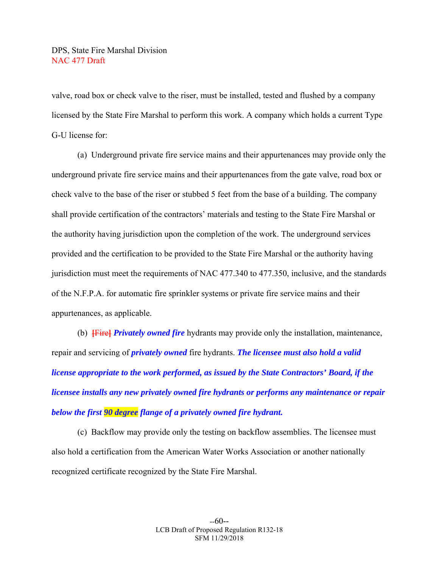valve, road box or check valve to the riser, must be installed, tested and flushed by a company licensed by the State Fire Marshal to perform this work. A company which holds a current Type G-U license for:

 (a) Underground private fire service mains and their appurtenances may provide only the underground private fire service mains and their appurtenances from the gate valve, road box or check valve to the base of the riser or stubbed 5 feet from the base of a building. The company shall provide certification of the contractors' materials and testing to the State Fire Marshal or the authority having jurisdiction upon the completion of the work. The underground services provided and the certification to be provided to the State Fire Marshal or the authority having jurisdiction must meet the requirements of NAC 477.340 to 477.350, inclusive, and the standards of the N.F.P.A. for automatic fire sprinkler systems or private fire service mains and their appurtenances, as applicable.

 (b) **[**Fire**]** *Privately owned fire* hydrants may provide only the installation, maintenance, repair and servicing of *privately owned* fire hydrants. *The licensee must also hold a valid license appropriate to the work performed, as issued by the State Contractors' Board, if the licensee installs any new privately owned fire hydrants or performs any maintenance or repair below the first 90 degree flange of a privately owned fire hydrant.*

 (c) Backflow may provide only the testing on backflow assemblies. The licensee must also hold a certification from the American Water Works Association or another nationally recognized certificate recognized by the State Fire Marshal.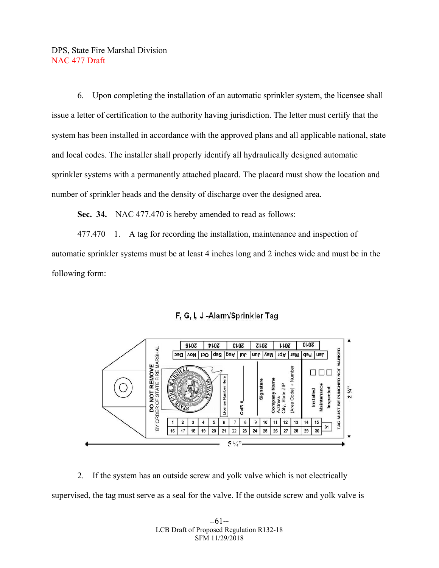6. Upon completing the installation of an automatic sprinkler system, the licensee shall issue a letter of certification to the authority having jurisdiction. The letter must certify that the system has been installed in accordance with the approved plans and all applicable national, state and local codes. The installer shall properly identify all hydraulically designed automatic sprinkler systems with a permanently attached placard. The placard must show the location and number of sprinkler heads and the density of discharge over the designed area.

 **Sec. 34.** NAC 477.470 is hereby amended to read as follows:

 477.470 1. A tag for recording the installation, maintenance and inspection of automatic sprinkler systems must be at least 4 inches long and 2 inches wide and must be in the following form:



### F, G, I, J-Alarm/Sprinkler Tag

 2. If the system has an outside screw and yolk valve which is not electrically supervised, the tag must serve as a seal for the valve. If the outside screw and yolk valve is

> --61-- LCB Draft of Proposed Regulation R132-18 SFM 11/29/2018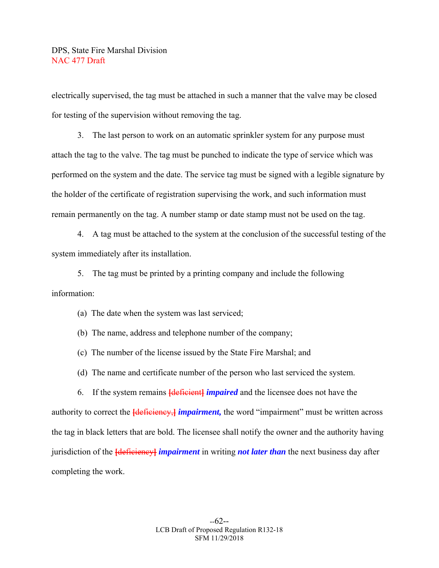electrically supervised, the tag must be attached in such a manner that the valve may be closed for testing of the supervision without removing the tag.

 3. The last person to work on an automatic sprinkler system for any purpose must attach the tag to the valve. The tag must be punched to indicate the type of service which was performed on the system and the date. The service tag must be signed with a legible signature by the holder of the certificate of registration supervising the work, and such information must remain permanently on the tag. A number stamp or date stamp must not be used on the tag.

 4. A tag must be attached to the system at the conclusion of the successful testing of the system immediately after its installation.

 5. The tag must be printed by a printing company and include the following information:

(a) The date when the system was last serviced;

(b) The name, address and telephone number of the company;

(c) The number of the license issued by the State Fire Marshal; and

(d) The name and certificate number of the person who last serviced the system.

 6. If the system remains **[**deficient**]** *impaired* and the licensee does not have the authority to correct the **[**deficiency, **]** *impairment*, the word "impairment" must be written across the tag in black letters that are bold. The licensee shall notify the owner and the authority having jurisdiction of the **[**deficiency**]** *impairment* in writing *not later than* the next business day after completing the work.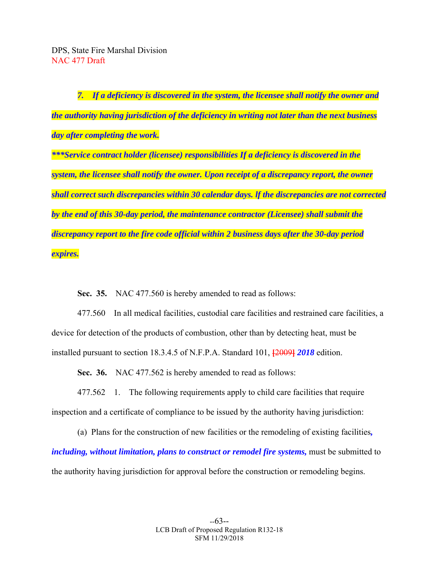*7. If a deficiency is discovered in the system, the licensee shall notify the owner and the authority having jurisdiction of the deficiency in writing not later than the next business day after completing the work.* 

*\*\*\*Service contract holder (licensee) responsibilities If a deficiency is discovered in the system, the licensee shall notify the owner. Upon receipt of a discrepancy report, the owner shall correct such discrepancies within 30 calendar days. lf the discrepancies are not corrected by the end of this 30-day period, the maintenance contractor (Licensee) shall submit the discrepancy report to the fire code official within 2 business days after the 30-day period expires.* 

**Sec. 35.** NAC 477.560 is hereby amended to read as follows:

 477.560 In all medical facilities, custodial care facilities and restrained care facilities, a device for detection of the products of combustion, other than by detecting heat, must be installed pursuant to section 18.3.4.5 of N.F.P.A. Standard 101, **[**2009**]** *2018* edition.

 **Sec. 36.** NAC 477.562 is hereby amended to read as follows:

 477.562 1. The following requirements apply to child care facilities that require inspection and a certificate of compliance to be issued by the authority having jurisdiction:

 (a) Plans for the construction of new facilities or the remodeling of existing facilities*, including, without limitation, plans to construct or remodel fire systems, must be submitted to* the authority having jurisdiction for approval before the construction or remodeling begins.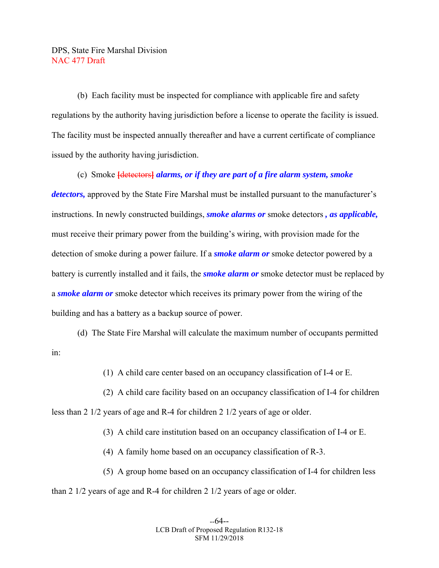(b) Each facility must be inspected for compliance with applicable fire and safety regulations by the authority having jurisdiction before a license to operate the facility is issued. The facility must be inspected annually thereafter and have a current certificate of compliance issued by the authority having jurisdiction.

 (c) Smoke **[**detectors**]** *alarms, or if they are part of a fire alarm system, smoke detectors,* approved by the State Fire Marshal must be installed pursuant to the manufacturer's instructions. In newly constructed buildings, *smoke alarms or* smoke detectors *, as applicable,* must receive their primary power from the building's wiring, with provision made for the detection of smoke during a power failure. If a *smoke alarm or* smoke detector powered by a battery is currently installed and it fails, the *smoke alarm or* smoke detector must be replaced by a *smoke alarm or* smoke detector which receives its primary power from the wiring of the building and has a battery as a backup source of power.

 (d) The State Fire Marshal will calculate the maximum number of occupants permitted in:

(1) A child care center based on an occupancy classification of I-4 or E.

 (2) A child care facility based on an occupancy classification of I-4 for children less than 2 1/2 years of age and R-4 for children 2 1/2 years of age or older.

(3) A child care institution based on an occupancy classification of I-4 or E.

(4) A family home based on an occupancy classification of R-3.

(5) A group home based on an occupancy classification of I-4 for children less

than 2 1/2 years of age and R-4 for children 2 1/2 years of age or older.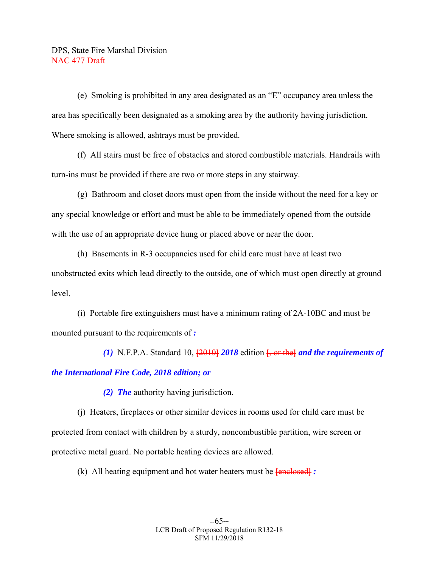(e) Smoking is prohibited in any area designated as an "E" occupancy area unless the area has specifically been designated as a smoking area by the authority having jurisdiction. Where smoking is allowed, ashtrays must be provided.

 (f) All stairs must be free of obstacles and stored combustible materials. Handrails with turn-ins must be provided if there are two or more steps in any stairway.

 (g) Bathroom and closet doors must open from the inside without the need for a key or any special knowledge or effort and must be able to be immediately opened from the outside with the use of an appropriate device hung or placed above or near the door.

 (h) Basements in R-3 occupancies used for child care must have at least two unobstructed exits which lead directly to the outside, one of which must open directly at ground level.

 (i) Portable fire extinguishers must have a minimum rating of 2A-10BC and must be mounted pursuant to the requirements of *:* 

 *(1)* N.F.P.A. Standard 10, **[**2010**]** *2018* edition **[**, or the**]** *and the requirements of the International Fire Code, 2018 edition; or* 

 *(2) The* authority having jurisdiction.

 (j) Heaters, fireplaces or other similar devices in rooms used for child care must be protected from contact with children by a sturdy, noncombustible partition, wire screen or protective metal guard. No portable heating devices are allowed.

(k) All heating equipment and hot water heaters must be **[**enclosed**]** *:*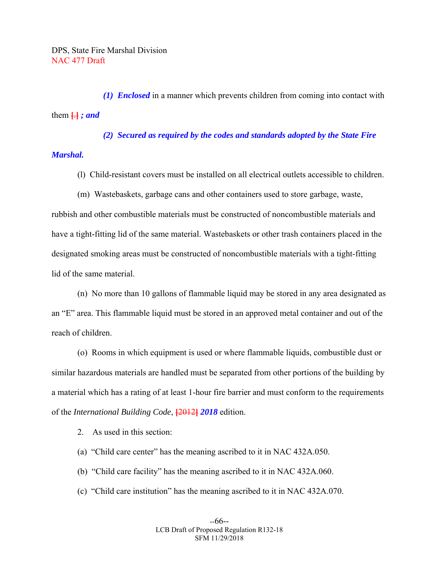*(1) Enclosed* in a manner which prevents children from coming into contact with them  $\left\{ \cdot \right\}$ *; and* 

 *(2) Secured as required by the codes and standards adopted by the State Fire* 

### *Marshal.*

- (l) Child-resistant covers must be installed on all electrical outlets accessible to children.
- (m) Wastebaskets, garbage cans and other containers used to store garbage, waste,

rubbish and other combustible materials must be constructed of noncombustible materials and have a tight-fitting lid of the same material. Wastebaskets or other trash containers placed in the designated smoking areas must be constructed of noncombustible materials with a tight-fitting lid of the same material.

 (n) No more than 10 gallons of flammable liquid may be stored in any area designated as an "E" area. This flammable liquid must be stored in an approved metal container and out of the reach of children.

 (o) Rooms in which equipment is used or where flammable liquids, combustible dust or similar hazardous materials are handled must be separated from other portions of the building by a material which has a rating of at least 1-hour fire barrier and must conform to the requirements of the *International Building Code*, **[**2012**]** *2018* edition.

2. As used in this section:

- (a) "Child care center" has the meaning ascribed to it in NAC 432A.050.
- (b) "Child care facility" has the meaning ascribed to it in NAC 432A.060.
- (c) "Child care institution" has the meaning ascribed to it in NAC 432A.070.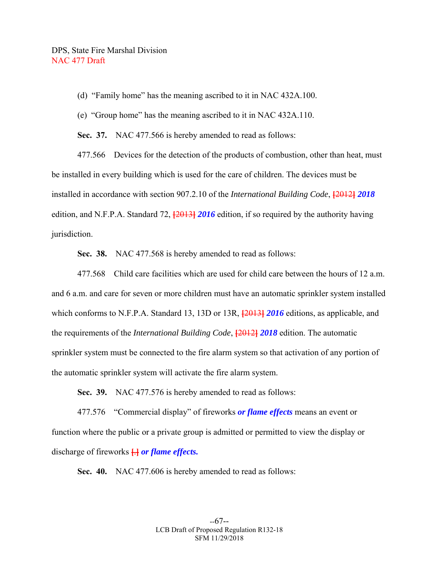(d) "Family home" has the meaning ascribed to it in NAC 432A.100.

(e) "Group home" has the meaning ascribed to it in NAC 432A.110.

 **Sec. 37.** NAC 477.566 is hereby amended to read as follows:

 477.566 Devices for the detection of the products of combustion, other than heat, must be installed in every building which is used for the care of children. The devices must be installed in accordance with section 907.2.10 of the *International Building Code*, **[**2012**]** *2018*  edition, and N.F.P.A. Standard 72, **[**2013**]** *2016* edition, if so required by the authority having jurisdiction.

 **Sec. 38.** NAC 477.568 is hereby amended to read as follows:

 477.568 Child care facilities which are used for child care between the hours of 12 a.m. and 6 a.m. and care for seven or more children must have an automatic sprinkler system installed which conforms to N.F.P.A. Standard 13, 13D or 13R, **[**2013**]** *2016* editions, as applicable, and the requirements of the *International Building Code*, **[**2012**]** *2018* edition. The automatic sprinkler system must be connected to the fire alarm system so that activation of any portion of the automatic sprinkler system will activate the fire alarm system.

 **Sec. 39.** NAC 477.576 is hereby amended to read as follows:

 477.576 "Commercial display" of fireworks *or flame effects* means an event or function where the public or a private group is admitted or permitted to view the display or discharge of fireworks **[**.**]** *or flame effects.* 

**Sec. 40.** NAC 477.606 is hereby amended to read as follows: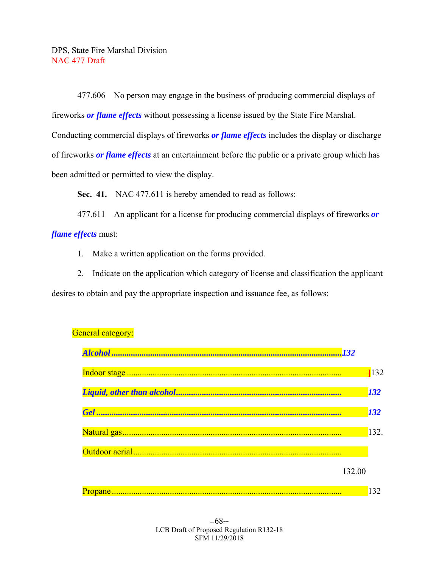477.606 No person may engage in the business of producing commercial displays of fireworks *or flame effects* without possessing a license issued by the State Fire Marshal. Conducting commercial displays of fireworks *or flame effects* includes the display or discharge of fireworks *or flame effects* at an entertainment before the public or a private group which has been admitted or permitted to view the display.

**Sec. 41.** NAC 477.611 is hereby amended to read as follows:

 477.611 An applicant for a license for producing commercial displays of fireworks *or flame effects* must:

1. Make a written application on the forms provided.

 2. Indicate on the application which category of license and classification the applicant desires to obtain and pay the appropriate inspection and issuance fee, as follows:



# General category: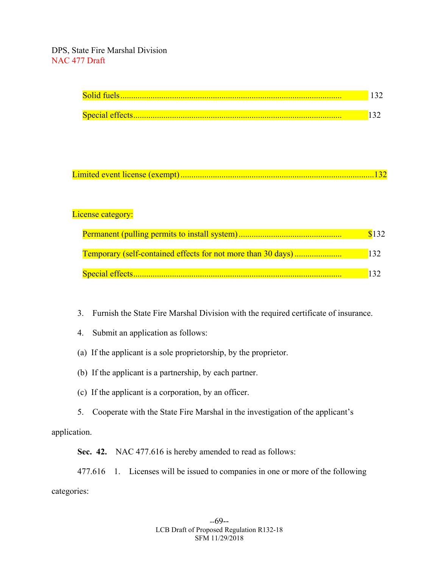| Special effects |  |
|-----------------|--|

```
Limited event license (exempt) ..........................................................................................132
```
# License category:

|                                                                     | \$132      |
|---------------------------------------------------------------------|------------|
| <b>Temporary (self-contained effects for not more than 30 days)</b> | <b>132</b> |
|                                                                     |            |

- 3. Furnish the State Fire Marshal Division with the required certificate of insurance.
- 4. Submit an application as follows:
- (a) If the applicant is a sole proprietorship, by the proprietor.
- (b) If the applicant is a partnership, by each partner.
- (c) If the applicant is a corporation, by an officer.
- 5. Cooperate with the State Fire Marshal in the investigation of the applicant's

application.

 **Sec. 42.** NAC 477.616 is hereby amended to read as follows:

 477.616 1. Licenses will be issued to companies in one or more of the following categories: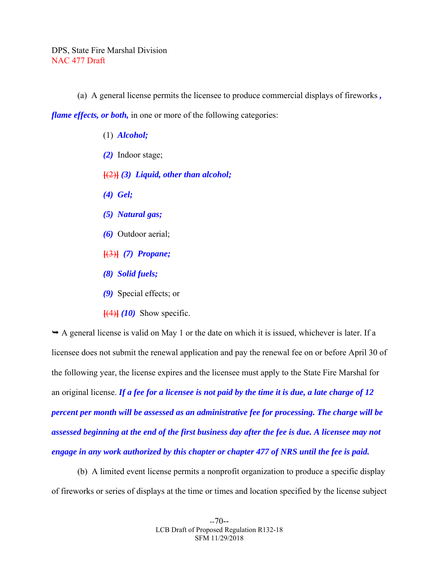(a) A general license permits the licensee to produce commercial displays of fireworks *,* 

*flame effects, or both,* in one or more of the following categories:

- (1) *Alcohol; (2)* Indoor stage; **[**(2)**]** *(3) Liquid, other than alcohol; (4) Gel; (5) Natural gas; (6)* Outdoor aerial; **[**(3)**]** *(7) Propane; (8) Solid fuels;*
- *(9)* Special effects; or
- $\left[\frac{(4)}{(10)}\right]$  Show specific.

 $\rightarrow$  A general license is valid on May 1 or the date on which it is issued, whichever is later. If a licensee does not submit the renewal application and pay the renewal fee on or before April 30 of the following year, the license expires and the licensee must apply to the State Fire Marshal for an original license. *If a fee for a licensee is not paid by the time it is due, a late charge of 12 percent per month will be assessed as an administrative fee for processing. The charge will be assessed beginning at the end of the first business day after the fee is due. A licensee may not engage in any work authorized by this chapter or chapter 477 of NRS until the fee is paid.*

 (b) A limited event license permits a nonprofit organization to produce a specific display of fireworks or series of displays at the time or times and location specified by the license subject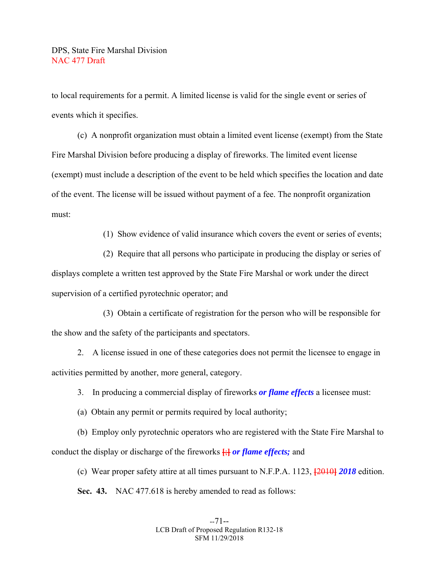to local requirements for a permit. A limited license is valid for the single event or series of events which it specifies.

 (c) A nonprofit organization must obtain a limited event license (exempt) from the State Fire Marshal Division before producing a display of fireworks. The limited event license (exempt) must include a description of the event to be held which specifies the location and date of the event. The license will be issued without payment of a fee. The nonprofit organization must:

(1) Show evidence of valid insurance which covers the event or series of events;

 (2) Require that all persons who participate in producing the display or series of displays complete a written test approved by the State Fire Marshal or work under the direct supervision of a certified pyrotechnic operator; and

 (3) Obtain a certificate of registration for the person who will be responsible for the show and the safety of the participants and spectators.

 2. A license issued in one of these categories does not permit the licensee to engage in activities permitted by another, more general, category.

3. In producing a commercial display of fireworks *or flame effects* a licensee must:

(a) Obtain any permit or permits required by local authority;

 (b) Employ only pyrotechnic operators who are registered with the State Fire Marshal to conduct the display or discharge of the fireworks **[**;**]** *or flame effects;* and

 (c) Wear proper safety attire at all times pursuant to N.F.P.A. 1123, **[**2010**]** *2018* edition.  **Sec. 43.** NAC 477.618 is hereby amended to read as follows: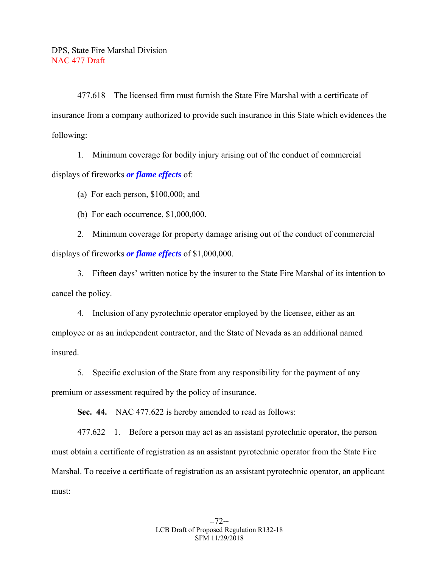477.618 The licensed firm must furnish the State Fire Marshal with a certificate of insurance from a company authorized to provide such insurance in this State which evidences the following:

 1. Minimum coverage for bodily injury arising out of the conduct of commercial displays of fireworks *or flame effects* of:

(a) For each person, \$100,000; and

(b) For each occurrence, \$1,000,000.

 2. Minimum coverage for property damage arising out of the conduct of commercial displays of fireworks *or flame effects* of \$1,000,000.

 3. Fifteen days' written notice by the insurer to the State Fire Marshal of its intention to cancel the policy.

 4. Inclusion of any pyrotechnic operator employed by the licensee, either as an employee or as an independent contractor, and the State of Nevada as an additional named insured.

 5. Specific exclusion of the State from any responsibility for the payment of any premium or assessment required by the policy of insurance.

 **Sec. 44.** NAC 477.622 is hereby amended to read as follows:

 477.622 1. Before a person may act as an assistant pyrotechnic operator, the person must obtain a certificate of registration as an assistant pyrotechnic operator from the State Fire Marshal. To receive a certificate of registration as an assistant pyrotechnic operator, an applicant must: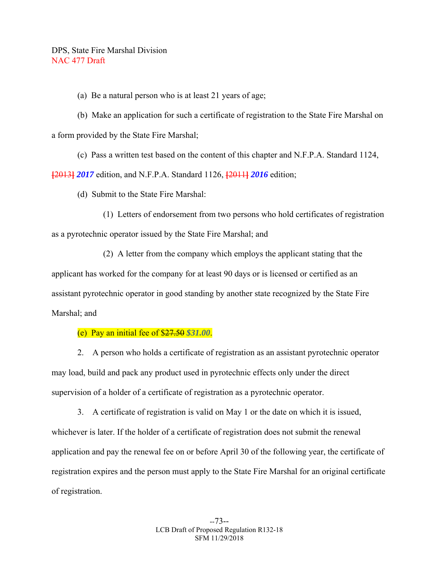(a) Be a natural person who is at least 21 years of age;

 (b) Make an application for such a certificate of registration to the State Fire Marshal on a form provided by the State Fire Marshal;

(c) Pass a written test based on the content of this chapter and N.F.P.A. Standard 1124,

**[**2013**]** *2017* edition, and N.F.P.A. Standard 1126, **[**2011**]** *2016* edition;

(d) Submit to the State Fire Marshal:

 (1) Letters of endorsement from two persons who hold certificates of registration as a pyrotechnic operator issued by the State Fire Marshal; and

 (2) A letter from the company which employs the applicant stating that the applicant has worked for the company for at least 90 days or is licensed or certified as an assistant pyrotechnic operator in good standing by another state recognized by the State Fire Marshal; and

(e) Pay an initial fee of \$27.50 *\$31.00*.

 2. A person who holds a certificate of registration as an assistant pyrotechnic operator may load, build and pack any product used in pyrotechnic effects only under the direct supervision of a holder of a certificate of registration as a pyrotechnic operator.

 3. A certificate of registration is valid on May 1 or the date on which it is issued, whichever is later. If the holder of a certificate of registration does not submit the renewal application and pay the renewal fee on or before April 30 of the following year, the certificate of registration expires and the person must apply to the State Fire Marshal for an original certificate of registration.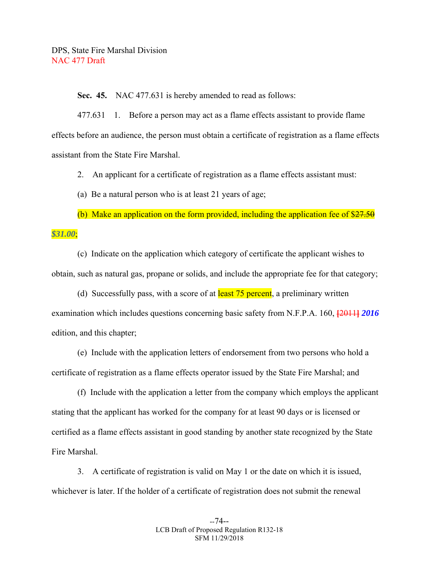**Sec. 45.** NAC 477.631 is hereby amended to read as follows:

 477.631 1. Before a person may act as a flame effects assistant to provide flame effects before an audience, the person must obtain a certificate of registration as a flame effects assistant from the State Fire Marshal.

2. An applicant for a certificate of registration as a flame effects assistant must:

(a) Be a natural person who is at least 21 years of age;

(b) Make an application on the form provided, including the application fee of  $\frac{27.50}{27.50}$ *\$31.00*;

 (c) Indicate on the application which category of certificate the applicant wishes to obtain, such as natural gas, propane or solids, and include the appropriate fee for that category;

(d) Successfully pass, with a score of at **least 75 percent**, a preliminary written examination which includes questions concerning basic safety from N.F.P.A. 160, **[**2011**]** *2016*  edition, and this chapter;

 (e) Include with the application letters of endorsement from two persons who hold a certificate of registration as a flame effects operator issued by the State Fire Marshal; and

 (f) Include with the application a letter from the company which employs the applicant stating that the applicant has worked for the company for at least 90 days or is licensed or certified as a flame effects assistant in good standing by another state recognized by the State Fire Marshal.

 3. A certificate of registration is valid on May 1 or the date on which it is issued, whichever is later. If the holder of a certificate of registration does not submit the renewal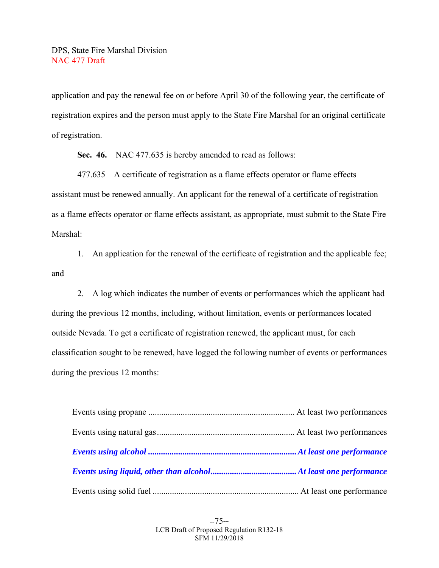application and pay the renewal fee on or before April 30 of the following year, the certificate of registration expires and the person must apply to the State Fire Marshal for an original certificate of registration.

 **Sec. 46.** NAC 477.635 is hereby amended to read as follows:

 477.635 A certificate of registration as a flame effects operator or flame effects assistant must be renewed annually. An applicant for the renewal of a certificate of registration as a flame effects operator or flame effects assistant, as appropriate, must submit to the State Fire Marshal:

 1. An application for the renewal of the certificate of registration and the applicable fee; and

 2. A log which indicates the number of events or performances which the applicant had during the previous 12 months, including, without limitation, events or performances located outside Nevada. To get a certificate of registration renewed, the applicant must, for each classification sought to be renewed, have logged the following number of events or performances during the previous 12 months:

--75-- LCB Draft of Proposed Regulation R132-18 SFM 11/29/2018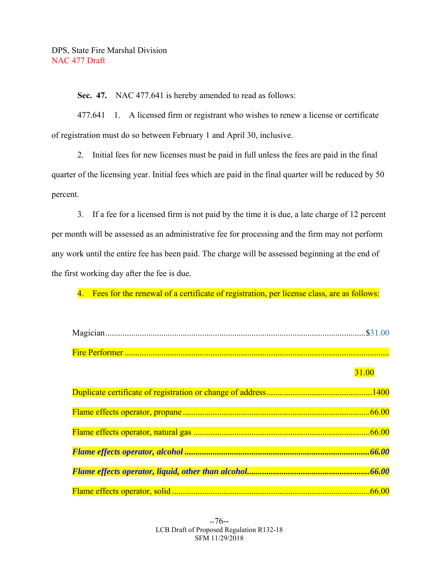**Sec. 47.** NAC 477.641 is hereby amended to read as follows:

 477.641 1. A licensed firm or registrant who wishes to renew a license or certificate of registration must do so between February 1 and April 30, inclusive.

 2. Initial fees for new licenses must be paid in full unless the fees are paid in the final quarter of the licensing year. Initial fees which are paid in the final quarter will be reduced by 50 percent.

 3. If a fee for a licensed firm is not paid by the time it is due, a late charge of 12 percent per month will be assessed as an administrative fee for processing and the firm may not perform any work until the entire fee has been paid. The charge will be assessed beginning at the end of the first working day after the fee is due.

4. Fees for the renewal of a certificate of registration, per license class, are as follows:

| 31.00 |
|-------|
|       |
|       |
|       |
|       |
|       |
|       |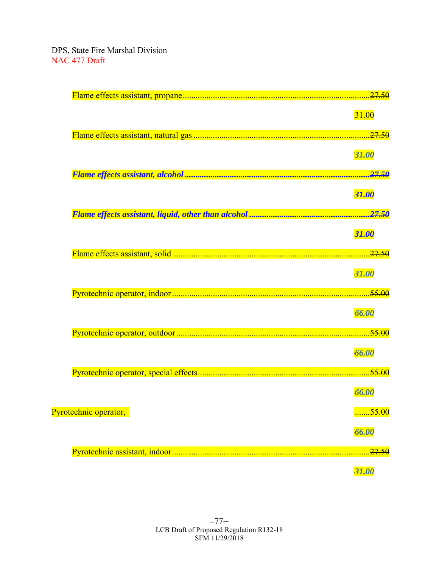|                       | 31.00             |
|-----------------------|-------------------|
|                       |                   |
|                       |                   |
|                       | 31.00             |
|                       |                   |
|                       |                   |
|                       | 31.00             |
|                       |                   |
|                       |                   |
|                       | 31.00             |
|                       |                   |
|                       |                   |
|                       | 31.00             |
|                       |                   |
|                       | 66.00             |
|                       |                   |
|                       |                   |
|                       | 66.00             |
|                       |                   |
|                       |                   |
|                       | 66.00             |
|                       |                   |
| Pyrotechnic operator, | <del>55.00</del>  |
|                       | 66.00             |
|                       |                   |
|                       | <del>.27.50</del> |
|                       | 31.00             |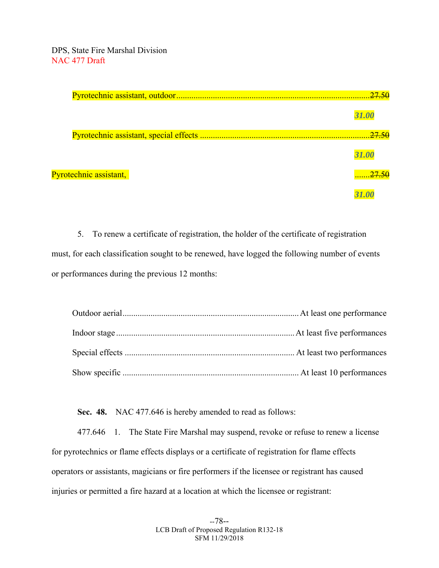|                        | <i><b>31.00</b></i> |
|------------------------|---------------------|
|                        |                     |
|                        | <b>31.00</b>        |
| Pyrotechnic assistant, |                     |
|                        |                     |

 5. To renew a certificate of registration, the holder of the certificate of registration must, for each classification sought to be renewed, have logged the following number of events or performances during the previous 12 months:

 **Sec. 48.** NAC 477.646 is hereby amended to read as follows:

 477.646 1. The State Fire Marshal may suspend, revoke or refuse to renew a license for pyrotechnics or flame effects displays or a certificate of registration for flame effects operators or assistants, magicians or fire performers if the licensee or registrant has caused injuries or permitted a fire hazard at a location at which the licensee or registrant: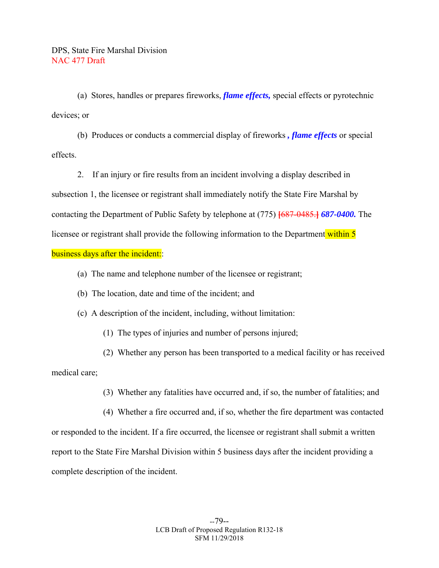(a) Stores, handles or prepares fireworks, *flame effects,* special effects or pyrotechnic devices; or

 (b) Produces or conducts a commercial display of fireworks *, flame effects* or special effects.

 2. If an injury or fire results from an incident involving a display described in subsection 1, the licensee or registrant shall immediately notify the State Fire Marshal by contacting the Department of Public Safety by telephone at (775) **[**687-0485.**]** *687-0400.* The licensee or registrant shall provide the following information to the Department within 5 business days after the incident:

- (a) The name and telephone number of the licensee or registrant;
- (b) The location, date and time of the incident; and
- (c) A description of the incident, including, without limitation:
	- (1) The types of injuries and number of persons injured;

 (2) Whether any person has been transported to a medical facility or has received medical care;

(3) Whether any fatalities have occurred and, if so, the number of fatalities; and

 (4) Whether a fire occurred and, if so, whether the fire department was contacted or responded to the incident. If a fire occurred, the licensee or registrant shall submit a written report to the State Fire Marshal Division within 5 business days after the incident providing a complete description of the incident.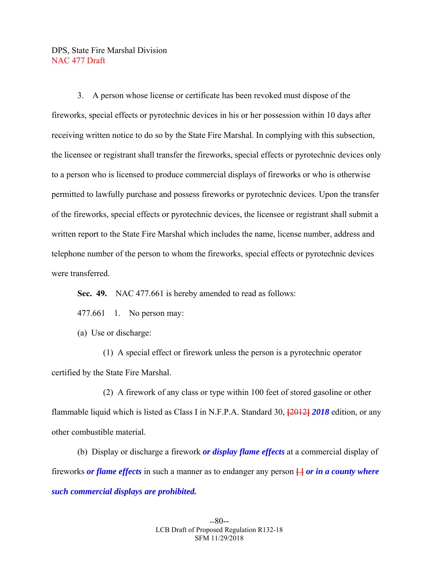3. A person whose license or certificate has been revoked must dispose of the fireworks, special effects or pyrotechnic devices in his or her possession within 10 days after receiving written notice to do so by the State Fire Marshal. In complying with this subsection, the licensee or registrant shall transfer the fireworks, special effects or pyrotechnic devices only to a person who is licensed to produce commercial displays of fireworks or who is otherwise permitted to lawfully purchase and possess fireworks or pyrotechnic devices. Upon the transfer of the fireworks, special effects or pyrotechnic devices, the licensee or registrant shall submit a written report to the State Fire Marshal which includes the name, license number, address and telephone number of the person to whom the fireworks, special effects or pyrotechnic devices were transferred.

**Sec. 49.** NAC 477.661 is hereby amended to read as follows:

477.661 1. No person may:

(a) Use or discharge:

 (1) A special effect or firework unless the person is a pyrotechnic operator certified by the State Fire Marshal.

 (2) A firework of any class or type within 100 feet of stored gasoline or other flammable liquid which is listed as Class I in N.F.P.A. Standard 30, **[**2012**]** *2018* edition, or any other combustible material.

 (b) Display or discharge a firework *or display flame effects* at a commercial display of fireworks *or flame effects* in such a manner as to endanger any person **[**.**]** *or in a county where such commercial displays are prohibited.*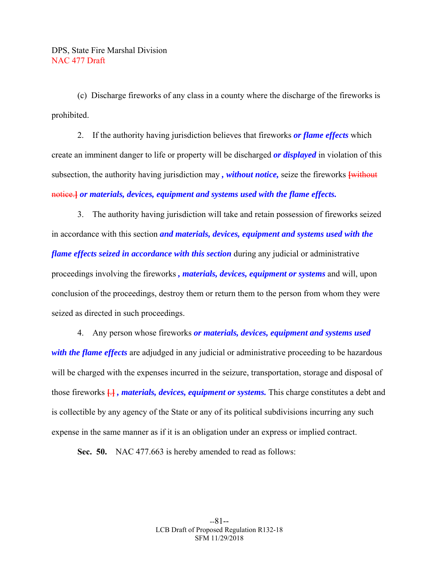(c) Discharge fireworks of any class in a county where the discharge of the fireworks is prohibited.

 2. If the authority having jurisdiction believes that fireworks *or flame effects* which create an imminent danger to life or property will be discharged *or displayed* in violation of this subsection, the authority having jurisdiction may *, without notice,* seize the fireworks **[**without notice.**]** *or materials, devices, equipment and systems used with the flame effects.*

 3. The authority having jurisdiction will take and retain possession of fireworks seized in accordance with this section *and materials, devices, equipment and systems used with the flame effects seized in accordance with this section* during any judicial or administrative proceedings involving the fireworks *, materials, devices, equipment or systems* and will, upon conclusion of the proceedings, destroy them or return them to the person from whom they were seized as directed in such proceedings.

 4. Any person whose fireworks *or materials, devices, equipment and systems used with the flame effects* are adjudged in any judicial or administrative proceeding to be hazardous will be charged with the expenses incurred in the seizure, transportation, storage and disposal of those fireworks **[**.**]** *, materials, devices, equipment or systems.* This charge constitutes a debt and is collectible by any agency of the State or any of its political subdivisions incurring any such expense in the same manner as if it is an obligation under an express or implied contract.

 **Sec. 50.** NAC 477.663 is hereby amended to read as follows: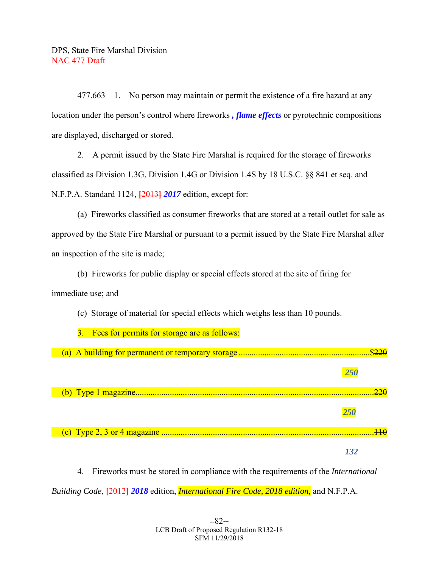477.663 1. No person may maintain or permit the existence of a fire hazard at any location under the person's control where fireworks *, flame effects* or pyrotechnic compositions are displayed, discharged or stored.

 2. A permit issued by the State Fire Marshal is required for the storage of fireworks classified as Division 1.3G, Division 1.4G or Division 1.4S by 18 U.S.C. §§ 841 et seq. and N.F.P.A. Standard 1124, **[**2013**]** *2017* edition, except for:

 (a) Fireworks classified as consumer fireworks that are stored at a retail outlet for sale as approved by the State Fire Marshal or pursuant to a permit issued by the State Fire Marshal after an inspection of the site is made;

(b) Fireworks for public display or special effects stored at the site of firing for

immediate use; and

(c) Storage of material for special effects which weighs less than 10 pounds.



 4. Fireworks must be stored in compliance with the requirements of the *International Building Code*, **[**2012**]** *2018* edition, *International Fire Code, 2018 edition,* and N.F.P.A.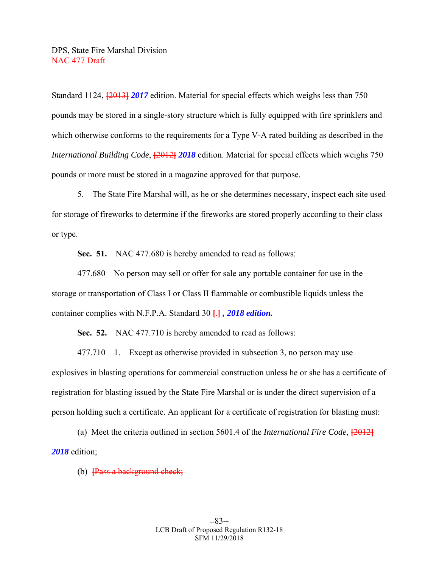Standard 1124, **[**2013**]** *2017* edition. Material for special effects which weighs less than 750 pounds may be stored in a single-story structure which is fully equipped with fire sprinklers and which otherwise conforms to the requirements for a Type V-A rated building as described in the *International Building Code*, **[**2012**]** *2018* edition. Material for special effects which weighs 750 pounds or more must be stored in a magazine approved for that purpose.

 5. The State Fire Marshal will, as he or she determines necessary, inspect each site used for storage of fireworks to determine if the fireworks are stored properly according to their class or type.

 **Sec. 51.** NAC 477.680 is hereby amended to read as follows:

 477.680 No person may sell or offer for sale any portable container for use in the storage or transportation of Class I or Class II flammable or combustible liquids unless the container complies with N.F.P.A. Standard 30 **[**.**]** *, 2018 edition.*

**Sec. 52.** NAC 477.710 is hereby amended to read as follows:

477.710 1. Except as otherwise provided in subsection 3, no person may use explosives in blasting operations for commercial construction unless he or she has a certificate of registration for blasting issued by the State Fire Marshal or is under the direct supervision of a person holding such a certificate. An applicant for a certificate of registration for blasting must:

 (a) Meet the criteria outlined in section 5601.4 of the *International Fire Code*, **[**2012**]** *2018* edition;

(b) **[**Pass a background check;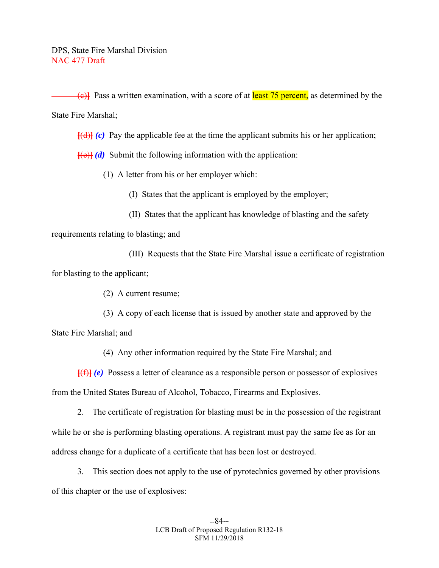(c)**]** Pass a written examination, with a score of at least 75 percent, as determined by the State Fire Marshal;

**[**(d)**]** *(c)* Pay the applicable fee at the time the applicant submits his or her application;

 $[\mathbf{H}\mathbf{e}](\mathbf{d})$  Submit the following information with the application:

(1) A letter from his or her employer which:

(I) States that the applicant is employed by the employer;

(II) States that the applicant has knowledge of blasting and the safety

requirements relating to blasting; and

 (III) Requests that the State Fire Marshal issue a certificate of registration for blasting to the applicant;

(2) A current resume;

 (3) A copy of each license that is issued by another state and approved by the State Fire Marshal; and

(4) Any other information required by the State Fire Marshal; and

**[**(f)**]** *(e)* Possess a letter of clearance as a responsible person or possessor of explosives from the United States Bureau of Alcohol, Tobacco, Firearms and Explosives.

 2. The certificate of registration for blasting must be in the possession of the registrant while he or she is performing blasting operations. A registrant must pay the same fee as for an address change for a duplicate of a certificate that has been lost or destroyed.

 3. This section does not apply to the use of pyrotechnics governed by other provisions of this chapter or the use of explosives: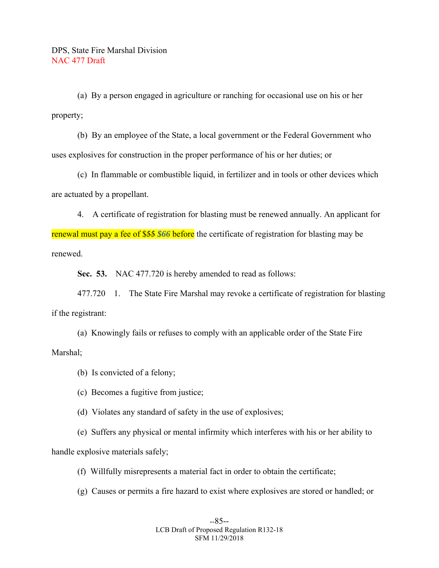(a) By a person engaged in agriculture or ranching for occasional use on his or her property;

 (b) By an employee of the State, a local government or the Federal Government who uses explosives for construction in the proper performance of his or her duties; or

 (c) In flammable or combustible liquid, in fertilizer and in tools or other devices which are actuated by a propellant.

 4. A certificate of registration for blasting must be renewed annually. An applicant for renewal must pay a fee of \$55 *\$66* before the certificate of registration for blasting may be renewed.

 **Sec. 53.** NAC 477.720 is hereby amended to read as follows:

 477.720 1. The State Fire Marshal may revoke a certificate of registration for blasting if the registrant:

 (a) Knowingly fails or refuses to comply with an applicable order of the State Fire Marshal;

- (b) Is convicted of a felony;
- (c) Becomes a fugitive from justice;
- (d) Violates any standard of safety in the use of explosives;

 (e) Suffers any physical or mental infirmity which interferes with his or her ability to handle explosive materials safely;

- (f) Willfully misrepresents a material fact in order to obtain the certificate;
- (g) Causes or permits a fire hazard to exist where explosives are stored or handled; or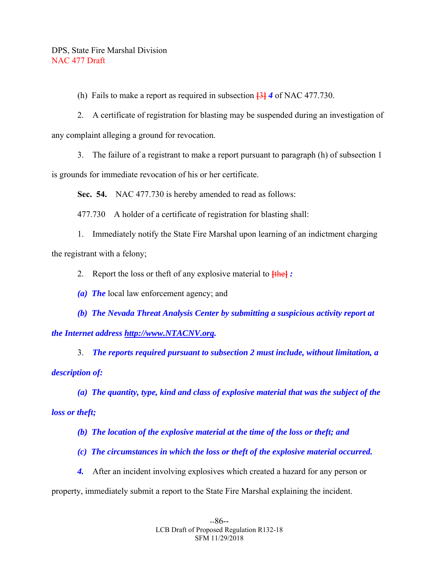(h) Fails to make a report as required in subsection **[**3**]** *4* of NAC 477.730.

 2. A certificate of registration for blasting may be suspended during an investigation of any complaint alleging a ground for revocation.

3. The failure of a registrant to make a report pursuant to paragraph (h) of subsection 1

is grounds for immediate revocation of his or her certificate.

 **Sec. 54.** NAC 477.730 is hereby amended to read as follows:

477.730 A holder of a certificate of registration for blasting shall:

 1. Immediately notify the State Fire Marshal upon learning of an indictment charging the registrant with a felony;

2. Report the loss or theft of any explosive material to **[**the**]** *:* 

 *(a) The* local law enforcement agency; and

 *(b) The Nevada Threat Analysis Center by submitting a suspicious activity report at the Internet address http://www.NTACNV.org.* 

 3. *The reports required pursuant to subsection 2 must include, without limitation, a description of:* 

 *(a) The quantity, type, kind and class of explosive material that was the subject of the loss or theft;* 

 *(b) The location of the explosive material at the time of the loss or theft; and* 

 *(c) The circumstances in which the loss or theft of the explosive material occurred.* 

 *4.* After an incident involving explosives which created a hazard for any person or

property, immediately submit a report to the State Fire Marshal explaining the incident.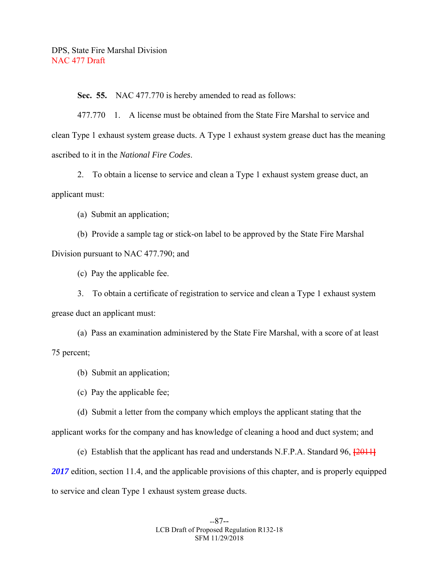**Sec. 55.** NAC 477.770 is hereby amended to read as follows:

 477.770 1. A license must be obtained from the State Fire Marshal to service and clean Type 1 exhaust system grease ducts. A Type 1 exhaust system grease duct has the meaning ascribed to it in the *National Fire Codes*.

 2. To obtain a license to service and clean a Type 1 exhaust system grease duct, an applicant must:

(a) Submit an application;

 (b) Provide a sample tag or stick-on label to be approved by the State Fire Marshal Division pursuant to NAC 477.790; and

(c) Pay the applicable fee.

 3. To obtain a certificate of registration to service and clean a Type 1 exhaust system grease duct an applicant must:

 (a) Pass an examination administered by the State Fire Marshal, with a score of at least 75 percent;

(b) Submit an application;

(c) Pay the applicable fee;

 (d) Submit a letter from the company which employs the applicant stating that the applicant works for the company and has knowledge of cleaning a hood and duct system; and

 (e) Establish that the applicant has read and understands N.F.P.A. Standard 96, **[**2011**]** 2017 edition, section 11.4, and the applicable provisions of this chapter, and is properly equipped to service and clean Type 1 exhaust system grease ducts.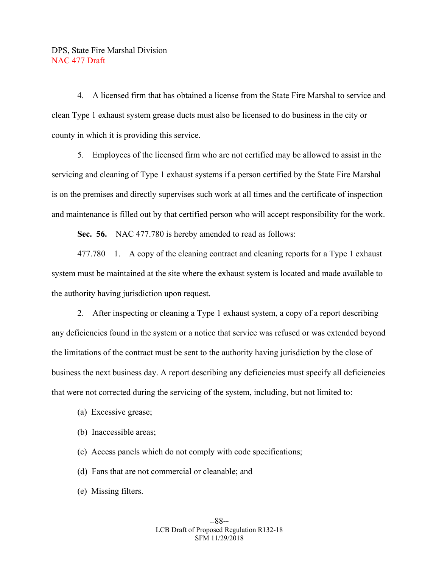4. A licensed firm that has obtained a license from the State Fire Marshal to service and clean Type 1 exhaust system grease ducts must also be licensed to do business in the city or county in which it is providing this service.

 5. Employees of the licensed firm who are not certified may be allowed to assist in the servicing and cleaning of Type 1 exhaust systems if a person certified by the State Fire Marshal is on the premises and directly supervises such work at all times and the certificate of inspection and maintenance is filled out by that certified person who will accept responsibility for the work.

 **Sec. 56.** NAC 477.780 is hereby amended to read as follows:

 477.780 1. A copy of the cleaning contract and cleaning reports for a Type 1 exhaust system must be maintained at the site where the exhaust system is located and made available to the authority having jurisdiction upon request.

 2. After inspecting or cleaning a Type 1 exhaust system, a copy of a report describing any deficiencies found in the system or a notice that service was refused or was extended beyond the limitations of the contract must be sent to the authority having jurisdiction by the close of business the next business day. A report describing any deficiencies must specify all deficiencies that were not corrected during the servicing of the system, including, but not limited to:

- (a) Excessive grease;
- (b) Inaccessible areas;
- (c) Access panels which do not comply with code specifications;
- (d) Fans that are not commercial or cleanable; and
- (e) Missing filters.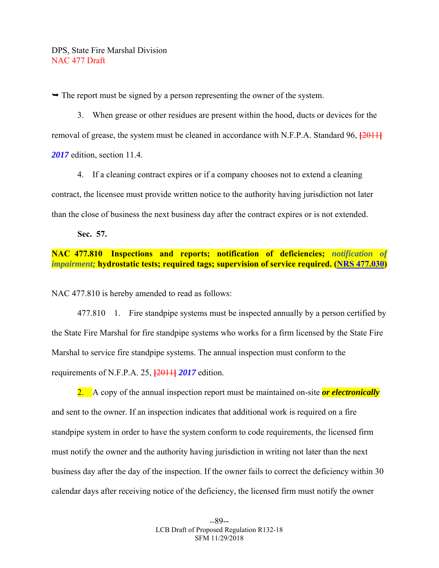$\rightarrow$  The report must be signed by a person representing the owner of the system.

 3. When grease or other residues are present within the hood, ducts or devices for the removal of grease, the system must be cleaned in accordance with N.F.P.A. Standard 96, **[**2011**]** *2017* edition, section 11.4.

 4. If a cleaning contract expires or if a company chooses not to extend a cleaning contract, the licensee must provide written notice to the authority having jurisdiction not later than the close of business the next business day after the contract expires or is not extended.

 **Sec. 57.** 

## **NAC 477.810 Inspections and reports; notification of deficiencies;** *notification of impairment;* **hydrostatic tests; required tags; supervision of service required. (NRS 477.030)**

NAC 477.810 is hereby amended to read as follows:

477.810 1. Fire standpipe systems must be inspected annually by a person certified by the State Fire Marshal for fire standpipe systems who works for a firm licensed by the State Fire Marshal to service fire standpipe systems. The annual inspection must conform to the requirements of N.F.P.A. 25, **[**2011**]** *2017* edition.

 2. A copy of the annual inspection report must be maintained on-site *or electronically* and sent to the owner. If an inspection indicates that additional work is required on a fire standpipe system in order to have the system conform to code requirements, the licensed firm must notify the owner and the authority having jurisdiction in writing not later than the next business day after the day of the inspection. If the owner fails to correct the deficiency within 30 calendar days after receiving notice of the deficiency, the licensed firm must notify the owner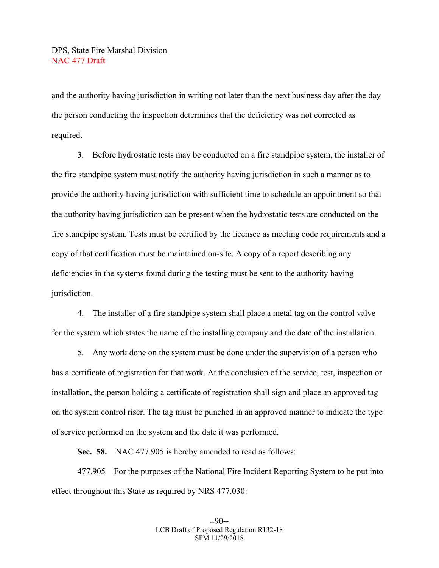and the authority having jurisdiction in writing not later than the next business day after the day the person conducting the inspection determines that the deficiency was not corrected as required.

 3. Before hydrostatic tests may be conducted on a fire standpipe system, the installer of the fire standpipe system must notify the authority having jurisdiction in such a manner as to provide the authority having jurisdiction with sufficient time to schedule an appointment so that the authority having jurisdiction can be present when the hydrostatic tests are conducted on the fire standpipe system. Tests must be certified by the licensee as meeting code requirements and a copy of that certification must be maintained on-site. A copy of a report describing any deficiencies in the systems found during the testing must be sent to the authority having jurisdiction.

 4. The installer of a fire standpipe system shall place a metal tag on the control valve for the system which states the name of the installing company and the date of the installation.

 5. Any work done on the system must be done under the supervision of a person who has a certificate of registration for that work. At the conclusion of the service, test, inspection or installation, the person holding a certificate of registration shall sign and place an approved tag on the system control riser. The tag must be punched in an approved manner to indicate the type of service performed on the system and the date it was performed.

 **Sec. 58.** NAC 477.905 is hereby amended to read as follows:

 477.905 For the purposes of the National Fire Incident Reporting System to be put into effect throughout this State as required by NRS 477.030: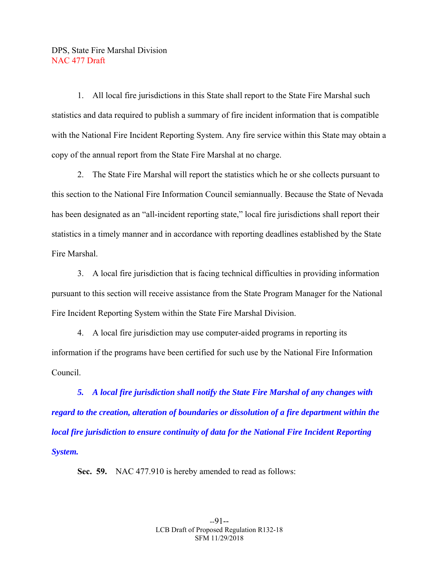1. All local fire jurisdictions in this State shall report to the State Fire Marshal such statistics and data required to publish a summary of fire incident information that is compatible with the National Fire Incident Reporting System. Any fire service within this State may obtain a copy of the annual report from the State Fire Marshal at no charge.

 2. The State Fire Marshal will report the statistics which he or she collects pursuant to this section to the National Fire Information Council semiannually. Because the State of Nevada has been designated as an "all-incident reporting state," local fire jurisdictions shall report their statistics in a timely manner and in accordance with reporting deadlines established by the State Fire Marshal.

 3. A local fire jurisdiction that is facing technical difficulties in providing information pursuant to this section will receive assistance from the State Program Manager for the National Fire Incident Reporting System within the State Fire Marshal Division.

 4. A local fire jurisdiction may use computer-aided programs in reporting its information if the programs have been certified for such use by the National Fire Information Council.

 *5. A local fire jurisdiction shall notify the State Fire Marshal of any changes with regard to the creation, alteration of boundaries or dissolution of a fire department within the local fire jurisdiction to ensure continuity of data for the National Fire Incident Reporting System.* 

 **Sec. 59.** NAC 477.910 is hereby amended to read as follows: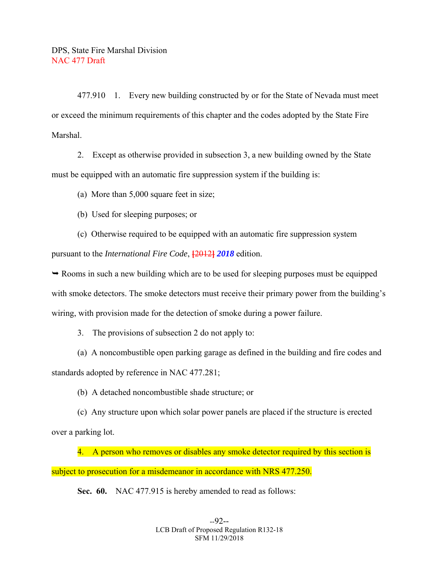477.910 1. Every new building constructed by or for the State of Nevada must meet or exceed the minimum requirements of this chapter and the codes adopted by the State Fire Marshal.

 2. Except as otherwise provided in subsection 3, a new building owned by the State must be equipped with an automatic fire suppression system if the building is:

(a) More than 5,000 square feet in size;

(b) Used for sleeping purposes; or

 (c) Otherwise required to be equipped with an automatic fire suppression system pursuant to the *International Fire Code*, **[**2012**]** *2018* edition.

 $\rightarrow$  Rooms in such a new building which are to be used for sleeping purposes must be equipped with smoke detectors. The smoke detectors must receive their primary power from the building's wiring, with provision made for the detection of smoke during a power failure.

3. The provisions of subsection 2 do not apply to:

 (a) A noncombustible open parking garage as defined in the building and fire codes and standards adopted by reference in NAC 477.281;

(b) A detached noncombustible shade structure; or

 (c) Any structure upon which solar power panels are placed if the structure is erected over a parking lot.

4. A person who removes or disables any smoke detector required by this section is subject to prosecution for a misdemeanor in accordance with NRS 477.250.

 **Sec. 60.** NAC 477.915 is hereby amended to read as follows: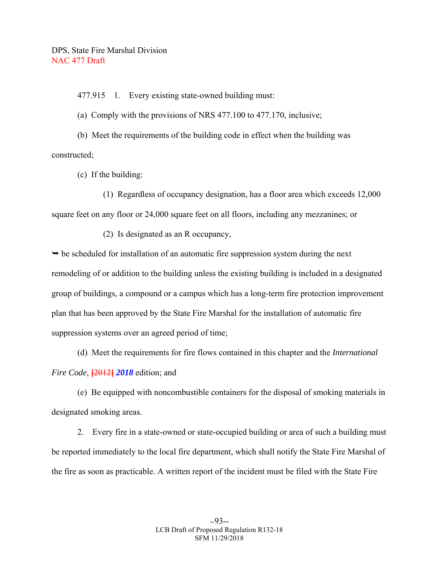477.915 1. Every existing state-owned building must:

(a) Comply with the provisions of NRS 477.100 to 477.170, inclusive;

 (b) Meet the requirements of the building code in effect when the building was constructed;

(c) If the building:

 (1) Regardless of occupancy designation, has a floor area which exceeds 12,000 square feet on any floor or 24,000 square feet on all floors, including any mezzanines; or

(2) Is designated as an R occupancy,

 $\rightarrow$  be scheduled for installation of an automatic fire suppression system during the next remodeling of or addition to the building unless the existing building is included in a designated group of buildings, a compound or a campus which has a long-term fire protection improvement plan that has been approved by the State Fire Marshal for the installation of automatic fire suppression systems over an agreed period of time;

 (d) Meet the requirements for fire flows contained in this chapter and the *International Fire Code*, **[**2012**]** *2018* edition; and

 (e) Be equipped with noncombustible containers for the disposal of smoking materials in designated smoking areas.

 2. Every fire in a state-owned or state-occupied building or area of such a building must be reported immediately to the local fire department, which shall notify the State Fire Marshal of the fire as soon as practicable. A written report of the incident must be filed with the State Fire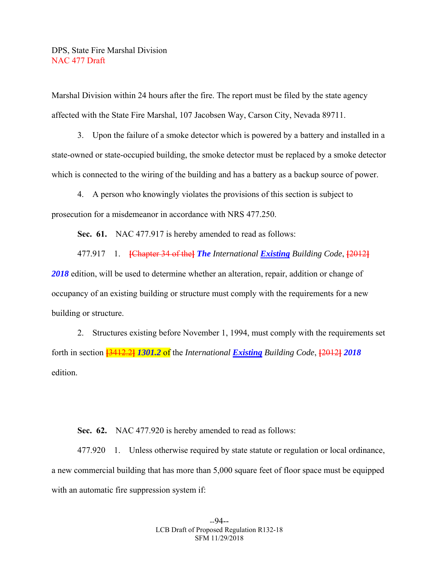Marshal Division within 24 hours after the fire. The report must be filed by the state agency affected with the State Fire Marshal, 107 Jacobsen Way, Carson City, Nevada 89711.

 3. Upon the failure of a smoke detector which is powered by a battery and installed in a state-owned or state-occupied building, the smoke detector must be replaced by a smoke detector which is connected to the wiring of the building and has a battery as a backup source of power.

 4. A person who knowingly violates the provisions of this section is subject to prosecution for a misdemeanor in accordance with NRS 477.250.

 **Sec. 61.** NAC 477.917 is hereby amended to read as follows:

477.917 1. **[**Chapter 34 of the**]** *The International Existing Building Code*, **[**2012**]**

*2018* edition, will be used to determine whether an alteration, repair, addition or change of occupancy of an existing building or structure must comply with the requirements for a new building or structure.

 2. Structures existing before November 1, 1994, must comply with the requirements set forth in section **[**3412.2**]** *1301.2* of the *International Existing Building Code*, **[**2012**]** *2018*  edition.

 **Sec. 62.** NAC 477.920 is hereby amended to read as follows:

 477.920 1. Unless otherwise required by state statute or regulation or local ordinance, a new commercial building that has more than 5,000 square feet of floor space must be equipped with an automatic fire suppression system if: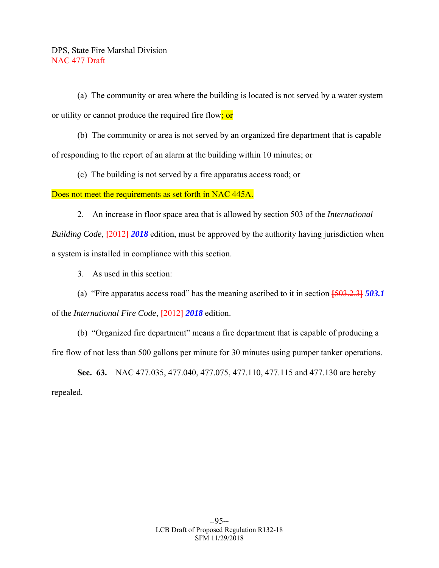(a) The community or area where the building is located is not served by a water system or utility or cannot produce the required fire flow; or

 (b) The community or area is not served by an organized fire department that is capable of responding to the report of an alarm at the building within 10 minutes; or

(c) The building is not served by a fire apparatus access road; or

Does not meet the requirements as set forth in NAC 445A.

2. An increase in floor space area that is allowed by section 503 of the *International* 

*Building Code*, **[**2012**]** *2018* edition, must be approved by the authority having jurisdiction when a system is installed in compliance with this section.

3. As used in this section:

 (a) "Fire apparatus access road" has the meaning ascribed to it in section **[**503.2.3**]** *503.1*  of the *International Fire Code*, **[**2012**]** *2018* edition.

 (b) "Organized fire department" means a fire department that is capable of producing a fire flow of not less than 500 gallons per minute for 30 minutes using pumper tanker operations.

 **Sec. 63.** NAC 477.035, 477.040, 477.075, 477.110, 477.115 and 477.130 are hereby repealed.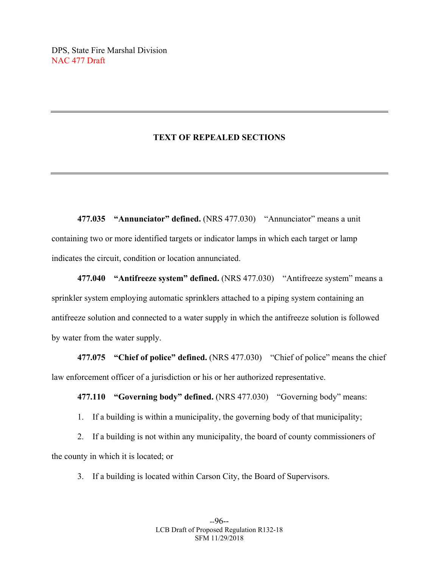## **TEXT OF REPEALED SECTIONS**

**477.035 "Annunciator" defined.** (NRS 477.030) "Annunciator" means a unit containing two or more identified targets or indicator lamps in which each target or lamp indicates the circuit, condition or location annunciated.

**477.040 "Antifreeze system" defined.** (NRS 477.030) "Antifreeze system" means a sprinkler system employing automatic sprinklers attached to a piping system containing an antifreeze solution and connected to a water supply in which the antifreeze solution is followed by water from the water supply.

 **477.075 "Chief of police" defined.** (NRS 477.030) "Chief of police" means the chief law enforcement officer of a jurisdiction or his or her authorized representative.

 **477.110 "Governing body" defined.** (NRS 477.030) "Governing body" means:

1. If a building is within a municipality, the governing body of that municipality;

 2. If a building is not within any municipality, the board of county commissioners of the county in which it is located; or

3. If a building is located within Carson City, the Board of Supervisors.